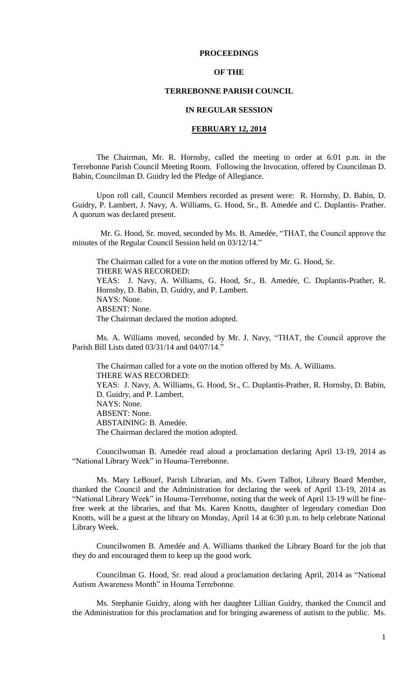# **PROCEEDINGS**

# **OF THE**

# **TERREBONNE PARISH COUNCIL**

### **IN REGULAR SESSION**

# **FEBRUARY 12, 2014**

The Chairman, Mr. R. Hornsby, called the meeting to order at 6:01 p.m. in the Terrebonne Parish Council Meeting Room. Following the Invocation, offered by Councilman D. Babin, Councilman D. Guidry led the Pledge of Allegiance.

Upon roll call, Council Members recorded as present were: R. Hornsby, D. Babin, D. Guidry, P. Lambert, J. Navy, A. Williams, G. Hood, Sr., B. Amedée and C. Duplantis- Prather. A quorum was declared present.

 Mr. G. Hood, Sr. moved, seconded by Ms. B. Amedée, "THAT, the Council approve the minutes of the Regular Council Session held on 03/12/14."

The Chairman called for a vote on the motion offered by Mr. G. Hood, Sr. THERE WAS RECORDED: YEAS: J. Navy, A. Williams, G. Hood, Sr., B. Amedée, C. Duplantis-Prather, R. Hornsby, D. Babin, D. Guidry, and P. Lambert. NAYS: None. ABSENT: None. The Chairman declared the motion adopted.

Ms. A. Williams moved, seconded by Mr. J. Navy, "THAT, the Council approve the Parish Bill Lists dated 03/31/14 and 04/07/14.'

The Chairman called for a vote on the motion offered by Ms. A. Williams. THERE WAS RECORDED: YEAS: J. Navy, A. Williams, G. Hood, Sr., C. Duplantis-Prather, R. Hornsby, D. Babin, D. Guidry, and P. Lambert. NAYS: None. ABSENT: None. ABSTAINING: B. Amedée. The Chairman declared the motion adopted.

Councilwoman B. Amedée read aloud a proclamation declaring April 13-19, 2014 as "National Library Week" in Houma-Terrebonne.

Ms. Mary LeBouef, Parish Librarian, and Ms. Gwen Talbot, Library Board Member, thanked the Council and the Administration for declaring the week of April 13-19, 2014 as "National Library Week" in Houma-Terrebonne, noting that the week of April 13-19 will be finefree week at the libraries, and that Ms. Karen Knotts, daughter of legendary comedian Don Knotts, will be a guest at the library on Monday, April 14 at 6:30 p.m. to help celebrate National Library Week.

Councilwomen B. Amedée and A. Williams thanked the Library Board for the job that they do and encouraged them to keep up the good work.

Councilman G. Hood, Sr. read aloud a proclamation declaring April, 2014 as "National Autism Awareness Month" in Houma Terrebonne.

Ms. Stephanie Guidry, along with her daughter Lillian Guidry, thanked the Council and the Administration for this proclamation and for bringing awareness of autism to the public. Ms.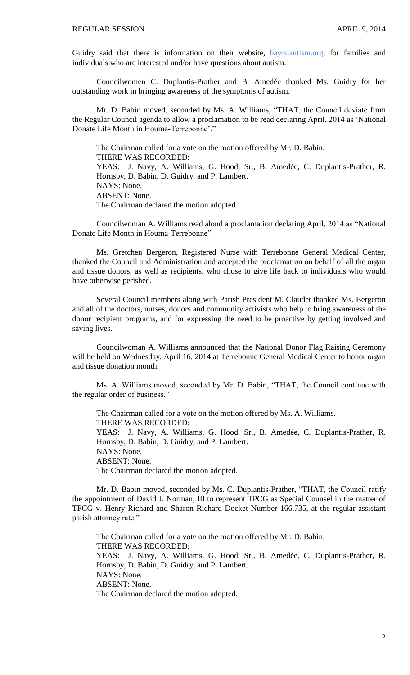Guidry said that there is information on their website, bayouautism.org, for families and individuals who are interested and/or have questions about autism.

Councilwomen C. Duplantis-Prather and B. Amedée thanked Ms. Guidry for her outstanding work in bringing awareness of the symptoms of autism.

Mr. D. Babin moved, seconded by Ms. A. Williams, "THAT, the Council deviate from the Regular Council agenda to allow a proclamation to be read declaring April, 2014 as 'National Donate Life Month in Houma-Terrebonne'."

The Chairman called for a vote on the motion offered by Mr. D. Babin. THERE WAS RECORDED: YEAS: J. Navy, A. Williams, G. Hood, Sr., B. Amedée, C. Duplantis-Prather, R. Hornsby, D. Babin, D. Guidry, and P. Lambert. NAYS: None. ABSENT: None. The Chairman declared the motion adopted.

Councilwoman A. Williams read aloud a proclamation declaring April, 2014 as "National Donate Life Month in Houma-Terrebonne".

Ms. Gretchen Bergeron, Registered Nurse with Terrebonne General Medical Center, thanked the Council and Administration and accepted the proclamation on behalf of all the organ and tissue donors, as well as recipients, who chose to give life back to individuals who would have otherwise perished.

Several Council members along with Parish President M. Claudet thanked Ms. Bergeron and all of the doctors, nurses, donors and community activists who help to bring awareness of the donor recipient programs, and for expressing the need to be proactive by getting involved and saving lives.

Councilwoman A. Williams announced that the National Donor Flag Raising Ceremony will be held on Wednesday, April 16, 2014 at Terrebonne General Medical Center to honor organ and tissue donation month.

Ms. A. Williams moved, seconded by Mr. D. Babin, "THAT, the Council continue with the regular order of business."

The Chairman called for a vote on the motion offered by Ms. A. Williams. THERE WAS RECORDED: YEAS: J. Navy, A. Williams, G. Hood, Sr., B. Amedée, C. Duplantis-Prather, R. Hornsby, D. Babin, D. Guidry, and P. Lambert. NAYS: None. ABSENT: None. The Chairman declared the motion adopted.

Mr. D. Babin moved, seconded by Ms. C. Duplantis-Prather, "THAT, the Council ratify the appointment of David J. Norman, III to represent TPCG as Special Counsel in the matter of TPCG v. Henry Richard and Sharon Richard Docket Number 166,735, at the regular assistant parish attorney rate."

The Chairman called for a vote on the motion offered by Mr. D. Babin. THERE WAS RECORDED: YEAS: J. Navy, A. Williams, G. Hood, Sr., B. Amedée, C. Duplantis-Prather, R. Hornsby, D. Babin, D. Guidry, and P. Lambert. NAYS: None. ABSENT: None. The Chairman declared the motion adopted.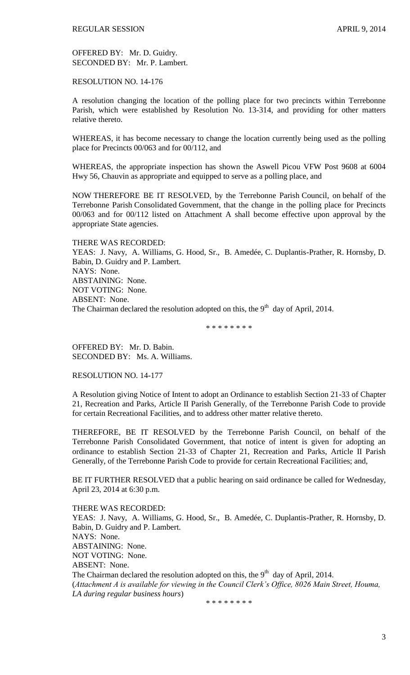OFFERED BY: Mr. D. Guidry. SECONDED BY: Mr. P. Lambert.

RESOLUTION NO. 14-176

A resolution changing the location of the polling place for two precincts within Terrebonne Parish, which were established by Resolution No. 13-314, and providing for other matters relative thereto.

WHEREAS, it has become necessary to change the location currently being used as the polling place for Precincts 00/063 and for 00/112, and

WHEREAS, the appropriate inspection has shown the Aswell Picou VFW Post 9608 at 6004 Hwy 56, Chauvin as appropriate and equipped to serve as a polling place, and

NOW THEREFORE BE IT RESOLVED, by the Terrebonne Parish Council, on behalf of the Terrebonne Parish Consolidated Government, that the change in the polling place for Precincts 00/063 and for 00/112 listed on Attachment A shall become effective upon approval by the appropriate State agencies.

THERE WAS RECORDED: YEAS: J. Navy, A. Williams, G. Hood, Sr., B. Amedée, C. Duplantis-Prather, R. Hornsby, D. Babin, D. Guidry and P. Lambert. NAYS: None. ABSTAINING: None. NOT VOTING: None. ABSENT: None. The Chairman declared the resolution adopted on this, the  $9<sup>th</sup>$  day of April, 2014.

\* \* \* \* \* \* \* \*

OFFERED BY: Mr. D. Babin. SECONDED BY: Ms. A. Williams.

RESOLUTION NO. 14-177

A Resolution giving Notice of Intent to adopt an Ordinance to establish Section 21-33 of Chapter 21, Recreation and Parks, Article II Parish Generally, of the Terrebonne Parish Code to provide for certain Recreational Facilities, and to address other matter relative thereto.

THEREFORE, BE IT RESOLVED by the Terrebonne Parish Council, on behalf of the Terrebonne Parish Consolidated Government, that notice of intent is given for adopting an ordinance to establish Section 21-33 of Chapter 21, Recreation and Parks, Article II Parish Generally, of the Terrebonne Parish Code to provide for certain Recreational Facilities; and,

BE IT FURTHER RESOLVED that a public hearing on said ordinance be called for Wednesday, April 23, 2014 at 6:30 p.m.

THERE WAS RECORDED: YEAS: J. Navy, A. Williams, G. Hood, Sr., B. Amedée, C. Duplantis-Prather, R. Hornsby, D. Babin, D. Guidry and P. Lambert. NAYS: None. ABSTAINING: None. NOT VOTING: None. ABSENT: None. The Chairman declared the resolution adopted on this, the  $9<sup>th</sup>$  day of April, 2014. (*Attachment A is available for viewing in the Council Clerk's Office, 8026 Main Street, Houma, LA during regular business hours*)

\* \* \* \* \* \* \* \*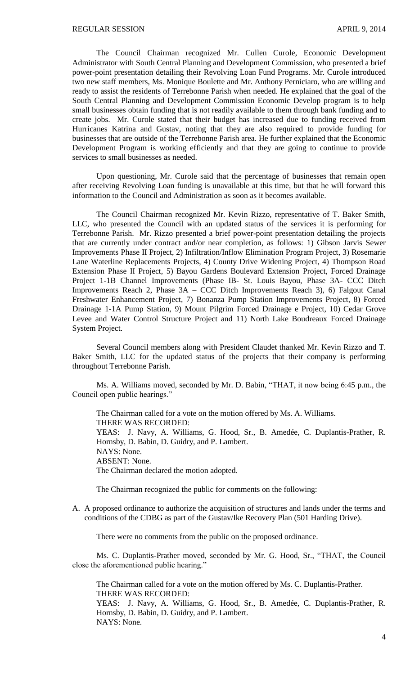The Council Chairman recognized Mr. Cullen Curole, Economic Development Administrator with South Central Planning and Development Commission, who presented a brief power-point presentation detailing their Revolving Loan Fund Programs. Mr. Curole introduced two new staff members, Ms. Monique Boulette and Mr. Anthony Perniciaro, who are willing and ready to assist the residents of Terrebonne Parish when needed. He explained that the goal of the South Central Planning and Development Commission Economic Develop program is to help small businesses obtain funding that is not readily available to them through bank funding and to create jobs. Mr. Curole stated that their budget has increased due to funding received from Hurricanes Katrina and Gustav, noting that they are also required to provide funding for businesses that are outside of the Terrebonne Parish area. He further explained that the Economic Development Program is working efficiently and that they are going to continue to provide services to small businesses as needed.

Upon questioning, Mr. Curole said that the percentage of businesses that remain open after receiving Revolving Loan funding is unavailable at this time, but that he will forward this information to the Council and Administration as soon as it becomes available.

The Council Chairman recognized Mr. Kevin Rizzo, representative of T. Baker Smith, LLC, who presented the Council with an updated status of the services it is performing for Terrebonne Parish. Mr. Rizzo presented a brief power-point presentation detailing the projects that are currently under contract and/or near completion, as follows: 1) Gibson Jarvis Sewer Improvements Phase II Project, 2) Infiltration/Inflow Elimination Program Project, 3) Rosemarie Lane Waterline Replacements Projects, 4) County Drive Widening Project, 4) Thompson Road Extension Phase II Project, 5) Bayou Gardens Boulevard Extension Project, Forced Drainage Project 1-1B Channel Improvements (Phase IB- St. Louis Bayou, Phase 3A- CCC Ditch Improvements Reach 2, Phase 3A – CCC Ditch Improvements Reach 3), 6) Falgout Canal Freshwater Enhancement Project, 7) Bonanza Pump Station Improvements Project, 8) Forced Drainage 1-1A Pump Station, 9) Mount Pilgrim Forced Drainage e Project, 10) Cedar Grove Levee and Water Control Structure Project and 11) North Lake Boudreaux Forced Drainage System Project.

Several Council members along with President Claudet thanked Mr. Kevin Rizzo and T. Baker Smith, LLC for the updated status of the projects that their company is performing throughout Terrebonne Parish.

Ms. A. Williams moved, seconded by Mr. D. Babin, "THAT, it now being 6:45 p.m., the Council open public hearings."

The Chairman called for a vote on the motion offered by Ms. A. Williams. THERE WAS RECORDED: YEAS: J. Navy, A. Williams, G. Hood, Sr., B. Amedée, C. Duplantis-Prather, R. Hornsby, D. Babin, D. Guidry, and P. Lambert. NAYS: None. ABSENT: None. The Chairman declared the motion adopted.

The Chairman recognized the public for comments on the following:

A. A proposed ordinance to authorize the acquisition of structures and lands under the terms and conditions of the CDBG as part of the Gustav/Ike Recovery Plan (501 Harding Drive).

There were no comments from the public on the proposed ordinance.

Ms. C. Duplantis-Prather moved, seconded by Mr. G. Hood, Sr., "THAT, the Council close the aforementioned public hearing."

The Chairman called for a vote on the motion offered by Ms. C. Duplantis-Prather. THERE WAS RECORDED:

YEAS: J. Navy, A. Williams, G. Hood, Sr., B. Amedée, C. Duplantis-Prather, R. Hornsby, D. Babin, D. Guidry, and P. Lambert. NAYS: None.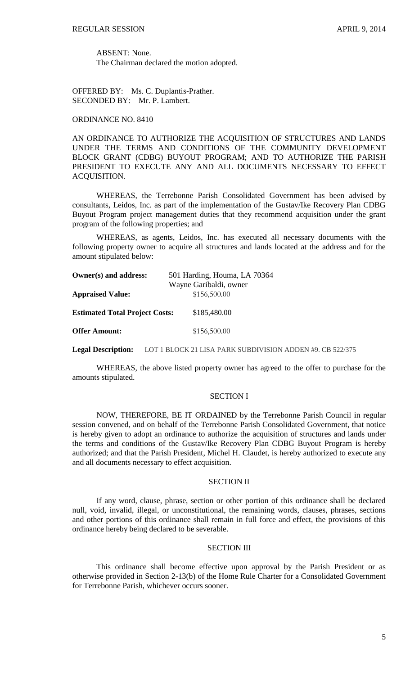ABSENT: None. The Chairman declared the motion adopted.

OFFERED BY: Ms. C. Duplantis-Prather. SECONDED BY: Mr. P. Lambert.

### ORDINANCE NO. 8410

AN ORDINANCE TO AUTHORIZE THE ACQUISITION OF STRUCTURES AND LANDS UNDER THE TERMS AND CONDITIONS OF THE COMMUNITY DEVELOPMENT BLOCK GRANT (CDBG) BUYOUT PROGRAM; AND TO AUTHORIZE THE PARISH PRESIDENT TO EXECUTE ANY AND ALL DOCUMENTS NECESSARY TO EFFECT ACQUISITION.

WHEREAS, the Terrebonne Parish Consolidated Government has been advised by consultants, Leidos, Inc. as part of the implementation of the Gustav/Ike Recovery Plan CDBG Buyout Program project management duties that they recommend acquisition under the grant program of the following properties; and

WHEREAS, as agents, Leidos, Inc. has executed all necessary documents with the following property owner to acquire all structures and lands located at the address and for the amount stipulated below:

| Owner(s) and address:                 | 501 Harding, Houma, LA 70364 |  |  |
|---------------------------------------|------------------------------|--|--|
|                                       | Wayne Garibaldi, owner       |  |  |
| <b>Appraised Value:</b>               | \$156,500.00                 |  |  |
| <b>Estimated Total Project Costs:</b> | \$185,480.00                 |  |  |
| <b>Offer Amount:</b>                  | \$156,500.00                 |  |  |

**Legal Description:** LOT 1 BLOCK 21 LISA PARK SUBDIVISION ADDEN #9. CB 522/375

WHEREAS, the above listed property owner has agreed to the offer to purchase for the amounts stipulated.

## SECTION I

NOW, THEREFORE, BE IT ORDAINED by the Terrebonne Parish Council in regular session convened, and on behalf of the Terrebonne Parish Consolidated Government, that notice is hereby given to adopt an ordinance to authorize the acquisition of structures and lands under the terms and conditions of the Gustav/Ike Recovery Plan CDBG Buyout Program is hereby authorized; and that the Parish President, Michel H. Claudet, is hereby authorized to execute any and all documents necessary to effect acquisition.

#### SECTION II

If any word, clause, phrase, section or other portion of this ordinance shall be declared null, void, invalid, illegal, or unconstitutional, the remaining words, clauses, phrases, sections and other portions of this ordinance shall remain in full force and effect, the provisions of this ordinance hereby being declared to be severable.

### SECTION III

This ordinance shall become effective upon approval by the Parish President or as otherwise provided in Section 2-13(b) of the Home Rule Charter for a Consolidated Government for Terrebonne Parish, whichever occurs sooner.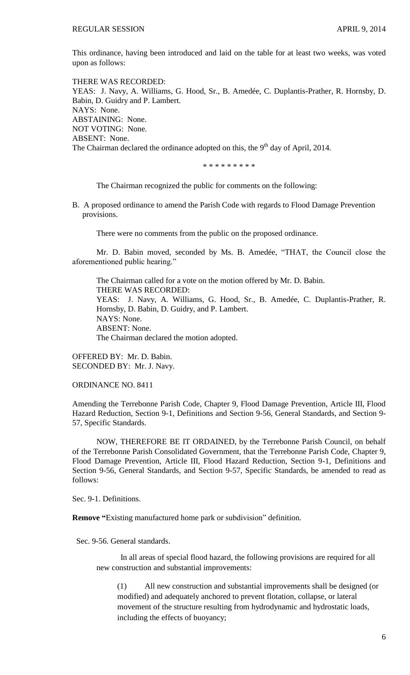This ordinance, having been introduced and laid on the table for at least two weeks, was voted upon as follows:

THERE WAS RECORDED: YEAS: J. Navy, A. Williams, G. Hood, Sr., B. Amedée, C. Duplantis-Prather, R. Hornsby, D. Babin, D. Guidry and P. Lambert. NAYS: None. ABSTAINING: None. NOT VOTING: None. ABSENT: None. The Chairman declared the ordinance adopted on this, the  $9<sup>th</sup>$  day of April, 2014.

\* \* \* \* \* \* \* \* \*

The Chairman recognized the public for comments on the following:

B. A proposed ordinance to amend the Parish Code with regards to Flood Damage Prevention provisions.

There were no comments from the public on the proposed ordinance.

Mr. D. Babin moved, seconded by Ms. B. Amedée, "THAT, the Council close the aforementioned public hearing."

The Chairman called for a vote on the motion offered by Mr. D. Babin. THERE WAS RECORDED: YEAS: J. Navy, A. Williams, G. Hood, Sr., B. Amedée, C. Duplantis-Prather, R. Hornsby, D. Babin, D. Guidry, and P. Lambert. NAYS: None. ABSENT: None. The Chairman declared the motion adopted.

OFFERED BY: Mr. D. Babin. SECONDED BY: Mr. J. Navy.

ORDINANCE NO. 8411

Amending the Terrebonne Parish Code, Chapter 9, Flood Damage Prevention, Article III, Flood Hazard Reduction, Section 9-1, Definitions and Section 9-56, General Standards, and Section 9- 57, Specific Standards.

NOW, THEREFORE BE IT ORDAINED, by the Terrebonne Parish Council, on behalf of the Terrebonne Parish Consolidated Government, that the Terrebonne Parish Code, Chapter 9, Flood Damage Prevention, Article III, Flood Hazard Reduction, Section 9-1, Definitions and Section 9-56, General Standards, and Section 9-57, Specific Standards, be amended to read as follows:

Sec. 9-1. Definitions.

**Remove "**Existing manufactured home park or subdivision" definition.

Sec. 9-56. General standards.

In all areas of special flood hazard, the following provisions are required for all new construction and substantial improvements:

(1) All new construction and substantial improvements shall be designed (or modified) and adequately anchored to prevent flotation, collapse, or lateral movement of the structure resulting from hydrodynamic and hydrostatic loads, including the effects of buoyancy;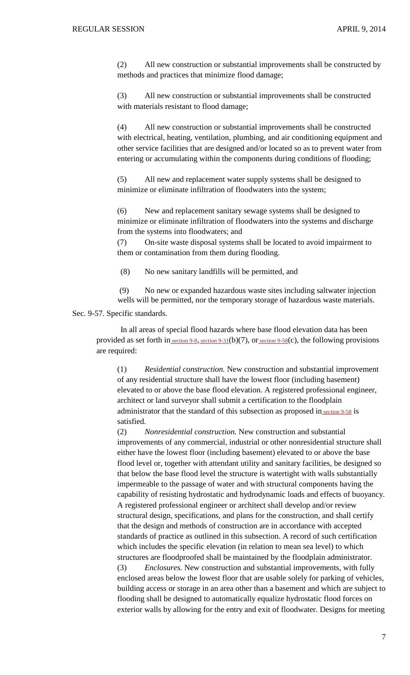(2) All new construction or substantial improvements shall be constructed by methods and practices that minimize flood damage;

(3) All new construction or substantial improvements shall be constructed with materials resistant to flood damage;

(4) All new construction or substantial improvements shall be constructed with electrical, heating, ventilation, plumbing, and air conditioning equipment and other service facilities that are designed and/or located so as to prevent water from entering or accumulating within the components during conditions of flooding;

(5) All new and replacement water supply systems shall be designed to minimize or eliminate infiltration of floodwaters into the system;

(6) New and replacement sanitary sewage systems shall be designed to minimize or eliminate infiltration of floodwaters into the systems and discharge from the systems into floodwaters; and

(7) On-site waste disposal systems shall be located to avoid impairment to them or contamination from them during flooding.

(8) No new sanitary landfills will be permitted, and

(9) No new or expanded hazardous waste sites including saltwater injection wells will be permitted, nor the temporary storage of hazardous waste materials.

Sec. 9-57. Specific standards.

In all areas of special flood hazards where base flood elevation data has been provided as set forth in [section](http://library.municode.com/HTML/10737/level3/PTIIPACO_CH9FLDAPR_ARTIIIFLHARE.html#PTIIPACO_CH9FLDAPR_ARTIIIFLHARE_S9-58STSUPR) 9-8, section 9-31(b)(7), or section 9-58(c), the following provisions are required:

(1) *Residential construction.* New construction and substantial improvement of any residential structure shall have the lowest floor (including basement) elevated to or above the base flood elevation. A registered professional engineer, architect or land surveyor shall submit a certification to the floodplain administrator that the standard of this subsection as proposed in [section](http://library.municode.com/HTML/10737/level3/PTIIPACO_CH9FLDAPR_ARTIIIFLHARE.html#PTIIPACO_CH9FLDAPR_ARTIIIFLHARE_S9-58STSUPR) 9-58 is satisfied.

(2) *Nonresidential construction.* New construction and substantial improvements of any commercial, industrial or other nonresidential structure shall either have the lowest floor (including basement) elevated to or above the base flood level or, together with attendant utility and sanitary facilities, be designed so that below the base flood level the structure is watertight with walls substantially impermeable to the passage of water and with structural components having the capability of resisting hydrostatic and hydrodynamic loads and effects of buoyancy. A registered professional engineer or architect shall develop and/or review structural design, specifications, and plans for the construction, and shall certify that the design and methods of construction are in accordance with accepted standards of practice as outlined in this subsection. A record of such certification which includes the specific elevation (in relation to mean sea level) to which structures are floodproofed shall be maintained by the floodplain administrator.

(3) *Enclosures.* New construction and substantial improvements, with fully enclosed areas below the lowest floor that are usable solely for parking of vehicles, building access or storage in an area other than a basement and which are subject to flooding shall be designed to automatically equalize hydrostatic flood forces on exterior walls by allowing for the entry and exit of floodwater. Designs for meeting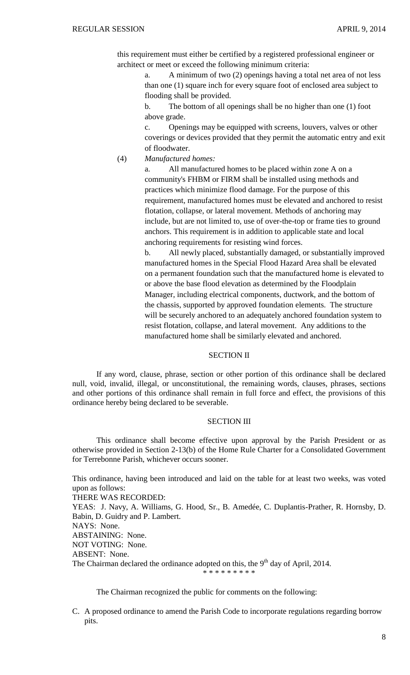this requirement must either be certified by a registered professional engineer or architect or meet or exceed the following minimum criteria:

> a. A minimum of two (2) openings having a total net area of not less than one (1) square inch for every square foot of enclosed area subject to flooding shall be provided.

b. The bottom of all openings shall be no higher than one (1) foot above grade.

c. Openings may be equipped with screens, louvers, valves or other coverings or devices provided that they permit the automatic entry and exit of floodwater.

(4) *Manufactured homes:*

a. All manufactured homes to be placed within zone A on a community's FHBM or FIRM shall be installed using methods and practices which minimize flood damage. For the purpose of this requirement, manufactured homes must be elevated and anchored to resist flotation, collapse, or lateral movement. Methods of anchoring may include, but are not limited to, use of over-the-top or frame ties to ground anchors. This requirement is in addition to applicable state and local anchoring requirements for resisting wind forces.

b. All newly placed, substantially damaged, or substantially improved manufactured homes in the Special Flood Hazard Area shall be elevated on a permanent foundation such that the manufactured home is elevated to or above the base flood elevation as determined by the Floodplain Manager, including electrical components, ductwork, and the bottom of the chassis, supported by approved foundation elements. The structure will be securely anchored to an adequately anchored foundation system to resist flotation, collapse, and lateral movement. Any additions to the manufactured home shall be similarly elevated and anchored.

# SECTION II

If any word, clause, phrase, section or other portion of this ordinance shall be declared null, void, invalid, illegal, or unconstitutional, the remaining words, clauses, phrases, sections and other portions of this ordinance shall remain in full force and effect, the provisions of this ordinance hereby being declared to be severable.

# SECTION III

This ordinance shall become effective upon approval by the Parish President or as otherwise provided in Section 2-13(b) of the Home Rule Charter for a Consolidated Government for Terrebonne Parish, whichever occurs sooner.

This ordinance, having been introduced and laid on the table for at least two weeks, was voted upon as follows:

THERE WAS RECORDED:

YEAS: J. Navy, A. Williams, G. Hood, Sr., B. Amedée, C. Duplantis-Prather, R. Hornsby, D. Babin, D. Guidry and P. Lambert.

NAYS: None.

ABSTAINING: None.

NOT VOTING: None.

ABSENT: None.

The Chairman declared the ordinance adopted on this, the 9<sup>th</sup> day of April, 2014. \* \* \* \* \* \* \* \* \*

The Chairman recognized the public for comments on the following:

C. A proposed ordinance to amend the Parish Code to incorporate regulations regarding borrow pits.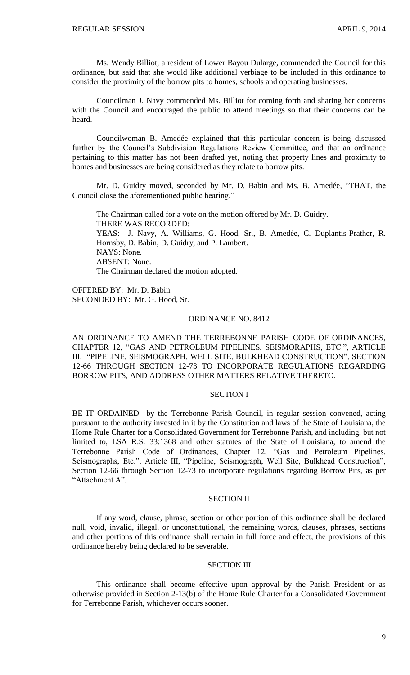Ms. Wendy Billiot, a resident of Lower Bayou Dularge, commended the Council for this ordinance, but said that she would like additional verbiage to be included in this ordinance to consider the proximity of the borrow pits to homes, schools and operating businesses.

Councilman J. Navy commended Ms. Billiot for coming forth and sharing her concerns with the Council and encouraged the public to attend meetings so that their concerns can be heard.

Councilwoman B. Amedée explained that this particular concern is being discussed further by the Council's Subdivision Regulations Review Committee, and that an ordinance pertaining to this matter has not been drafted yet, noting that property lines and proximity to homes and businesses are being considered as they relate to borrow pits.

Mr. D. Guidry moved, seconded by Mr. D. Babin and Ms. B. Amedée, "THAT, the Council close the aforementioned public hearing."

The Chairman called for a vote on the motion offered by Mr. D. Guidry. THERE WAS RECORDED: YEAS: J. Navy, A. Williams, G. Hood, Sr., B. Amedée, C. Duplantis-Prather, R. Hornsby, D. Babin, D. Guidry, and P. Lambert. NAYS: None. ABSENT: None. The Chairman declared the motion adopted.

OFFERED BY: Mr. D. Babin. SECONDED BY: Mr. G. Hood, Sr.

#### ORDINANCE NO. 8412

AN ORDINANCE TO AMEND THE TERREBONNE PARISH CODE OF ORDINANCES, CHAPTER 12, "GAS AND PETROLEUM PIPELINES, SEISMORAPHS, ETC.", ARTICLE III. "PIPELINE, SEISMOGRAPH, WELL SITE, BULKHEAD CONSTRUCTION", SECTION 12-66 THROUGH SECTION 12-73 TO INCORPORATE REGULATIONS REGARDING BORROW PITS, AND ADDRESS OTHER MATTERS RELATIVE THERETO.

# SECTION I

BE IT ORDAINED by the Terrebonne Parish Council, in regular session convened, acting pursuant to the authority invested in it by the Constitution and laws of the State of Louisiana, the Home Rule Charter for a Consolidated Government for Terrebonne Parish, and including, but not limited to, LSA R.S. 33:1368 and other statutes of the State of Louisiana, to amend the Terrebonne Parish Code of Ordinances, Chapter 12, "Gas and Petroleum Pipelines, Seismographs, Etc.", Article III, "Pipeline, Seismograph, Well Site, Bulkhead Construction", Section 12-66 through Section 12-73 to incorporate regulations regarding Borrow Pits, as per "Attachment A".

## SECTION II

If any word, clause, phrase, section or other portion of this ordinance shall be declared null, void, invalid, illegal, or unconstitutional, the remaining words, clauses, phrases, sections and other portions of this ordinance shall remain in full force and effect, the provisions of this ordinance hereby being declared to be severable.

# SECTION III

This ordinance shall become effective upon approval by the Parish President or as otherwise provided in Section 2-13(b) of the Home Rule Charter for a Consolidated Government for Terrebonne Parish, whichever occurs sooner.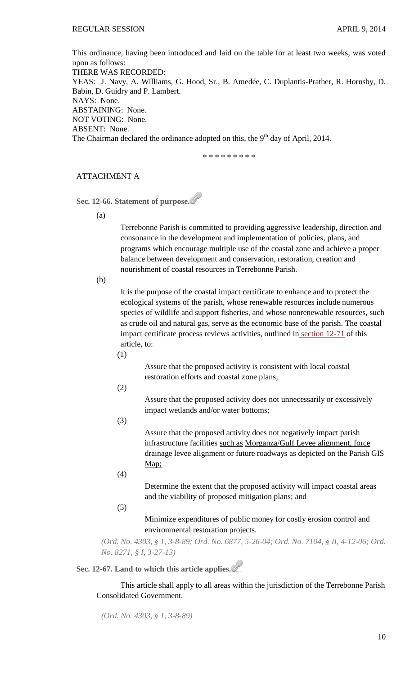This ordinance, having been introduced and laid on the table for at least two weeks, was voted upon as follows: THERE WAS RECORDED: YEAS: J. Navy, A. Williams, G. Hood, Sr., B. Amedée, C. Duplantis-Prather, R. Hornsby, D. Babin, D. Guidry and P. Lambert. NAYS: None. ABSTAINING: None. NOT VOTING: None. ABSENT: None. The Chairman declared the ordinance adopted on this, the  $9<sup>th</sup>$  day of April, 2014.

\* \* \* \* \* \* \* \* \*

# ATTACHMENT A

**Sec. 12-66. Statement of purpose.**

(a)

Terrebonne Parish is committed to providing aggressive leadership, direction and consonance in the development and implementation of policies, plans, and programs which encourage multiple use of the coastal zone and achieve a proper balance between development and conservation, restoration, creation and nourishment of coastal resources in Terrebonne Parish.

(b)

It is the purpose of the coastal impact certificate to enhance and to protect the ecological systems of the parish, whose renewable resources include numerous species of wildlife and support fisheries, and whose nonrenewable resources, such as crude oil and natural gas, serve as the economic base of the parish. The coastal impact certificate process reviews activities, outlined in [section 12-71](http://library.municode.com/HTML/10737/level3/PTIIPACO_CH12GAPEPISEET_ARTIIIPISEWESIBUCO.html#PTIIPACO_CH12GAPEPISEET_ARTIIIPISEWESIBUCO_S12-71COIMCERE) of this article, to:

(1)

Assure that the proposed activity is consistent with local coastal restoration efforts and coastal zone plans;

(2)

Assure that the proposed activity does not unnecessarily or excessively impact wetlands and/or water bottoms;

(3)

Assure that the proposed activity does not negatively impact parish infrastructure facilities such as Morganza/Gulf Levee alignment, force drainage levee alignment or future roadways as depicted on the Parish GIS Map;

(4)

Determine the extent that the proposed activity will impact coastal areas and the viability of proposed mitigation plans; and

(5)

Minimize expenditures of public money for costly erosion control and environmental restoration projects.

*(Ord. No. 4303, § 1, 3-8-89; Ord. No. 6877, 5-26-04; Ord. No. 7104, § II, 4-12-06; Ord. No. 8271, § I, 3-27-13)*

**Sec. 12-67. Land to which this article applies.**

This article shall apply to all areas within the jurisdiction of the Terrebonne Parish Consolidated Government.

*(Ord. No. 4303, § 1, 3-8-89)*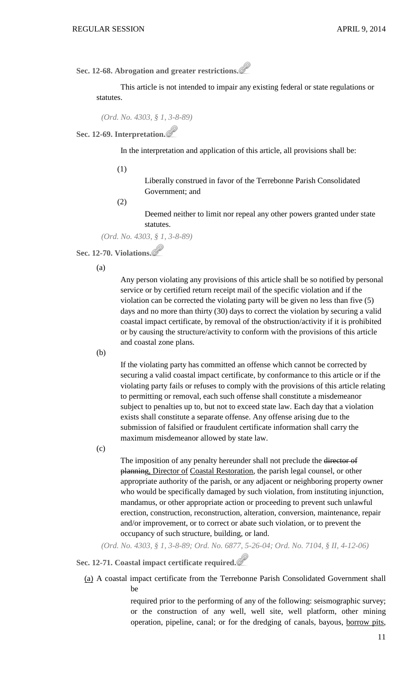**Sec. 12-68. Abrogation and greater restrictions.**

This article is not intended to impair any existing federal or state regulations or statutes.

*(Ord. No. 4303, § 1, 3-8-89)*

**Sec. 12-69. Interpretation.**

In the interpretation and application of this article, all provisions shall be:

(1)

Liberally construed in favor of the Terrebonne Parish Consolidated Government; and

(2)

Deemed neither to limit nor repeal any other powers granted under state statutes.

*(Ord. No. 4303, § 1, 3-8-89)*

**Sec. 12-70. Violations.**

(a)

Any person violating any provisions of this article shall be so notified by personal service or by certified return receipt mail of the specific violation and if the violation can be corrected the violating party will be given no less than five (5) days and no more than thirty (30) days to correct the violation by securing a valid coastal impact certificate, by removal of the obstruction/activity if it is prohibited or by causing the structure/activity to conform with the provisions of this article and coastal zone plans.

(b)

If the violating party has committed an offense which cannot be corrected by securing a valid coastal impact certificate, by conformance to this article or if the violating party fails or refuses to comply with the provisions of this article relating to permitting or removal, each such offense shall constitute a misdemeanor subject to penalties up to, but not to exceed state law. Each day that a violation exists shall constitute a separate offense. Any offense arising due to the submission of falsified or fraudulent certificate information shall carry the maximum misdemeanor allowed by state law.

(c)

The imposition of any penalty hereunder shall not preclude the director of planning, Director of Coastal Restoration, the parish legal counsel, or other appropriate authority of the parish, or any adjacent or neighboring property owner who would be specifically damaged by such violation, from instituting injunction, mandamus, or other appropriate action or proceeding to prevent such unlawful erection, construction, reconstruction, alteration, conversion, maintenance, repair and/or improvement, or to correct or abate such violation, or to prevent the occupancy of such structure, building, or land.

*(Ord. No. 4303, § 1, 3-8-89; Ord. No. 6877, 5-26-04; Ord. No. 7104, § II, 4-12-06)*

# **Sec. 12-71. Coastal impact certificate required.**

(a) A coastal impact certificate from the Terrebonne Parish Consolidated Government shall be

> required prior to the performing of any of the following: seismographic survey; or the construction of any well, well site, well platform, other mining operation, pipeline, canal; or for the dredging of canals, bayous, borrow pits,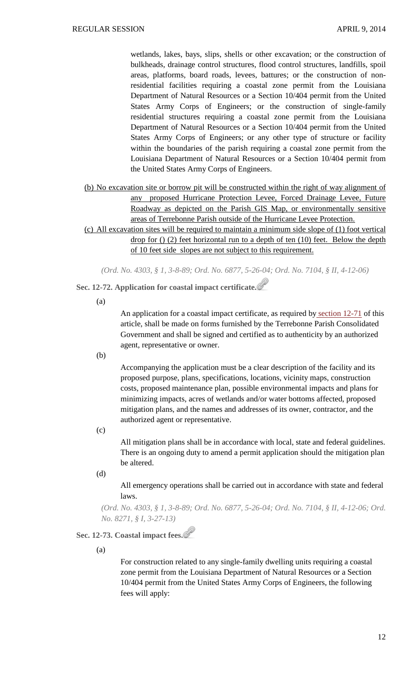wetlands, lakes, bays, slips, shells or other excavation; or the construction of bulkheads, drainage control structures, flood control structures, landfills, spoil areas, platforms, board roads, levees, battures; or the construction of nonresidential facilities requiring a coastal zone permit from the Louisiana Department of Natural Resources or a Section 10/404 permit from the United States Army Corps of Engineers; or the construction of single-family residential structures requiring a coastal zone permit from the Louisiana Department of Natural Resources or a Section 10/404 permit from the United States Army Corps of Engineers; or any other type of structure or facility within the boundaries of the parish requiring a coastal zone permit from the Louisiana Department of Natural Resources or a Section 10/404 permit from the United States Army Corps of Engineers.

- (b) No excavation site or borrow pit will be constructed within the right of way alignment of any proposed Hurricane Protection Levee, Forced Drainage Levee, Future Roadway as depicted on the Parish GIS Map, or environmentally sensitive areas of Terrebonne Parish outside of the Hurricane Levee Protection.
- (c) All excavation sites will be required to maintain a minimum side slope of (1) foot vertical drop for () (2) feet horizontal run to a depth of ten (10) feet. Below the depth of 10 feet side slopes are not subject to this requirement.

*(Ord. No. 4303, § 1, 3-8-89; Ord. No. 6877, 5-26-04; Ord. No. 7104, § II, 4-12-06)*

**Sec. 12-72. Application for coastal impact certificate.**

(a)

An application for a coastal impact certificate, as required by [section 12-71](http://library.municode.com/HTML/10737/level3/PTIIPACO_CH12GAPEPISEET_ARTIIIPISEWESIBUCO.html#PTIIPACO_CH12GAPEPISEET_ARTIIIPISEWESIBUCO_S12-71COIMCERE) of this article, shall be made on forms furnished by the Terrebonne Parish Consolidated Government and shall be signed and certified as to authenticity by an authorized agent, representative or owner.

(b)

Accompanying the application must be a clear description of the facility and its proposed purpose, plans, specifications, locations, vicinity maps, construction costs, proposed maintenance plan, possible environmental impacts and plans for minimizing impacts, acres of wetlands and/or water bottoms affected, proposed mitigation plans, and the names and addresses of its owner, contractor, and the authorized agent or representative.

(c)

All mitigation plans shall be in accordance with local, state and federal guidelines. There is an ongoing duty to amend a permit application should the mitigation plan be altered.

(d)

All emergency operations shall be carried out in accordance with state and federal laws.

*(Ord. No. 4303, § 1, 3-8-89; Ord. No. 6877, 5-26-04; Ord. No. 7104, § II, 4-12-06; Ord. No. 8271, § I, 3-27-13)*

# **Sec. 12-73. Coastal impact fees.**

(a)

For construction related to any single-family dwelling units requiring a coastal zone permit from the Louisiana Department of Natural Resources or a Section 10/404 permit from the United States Army Corps of Engineers, the following fees will apply: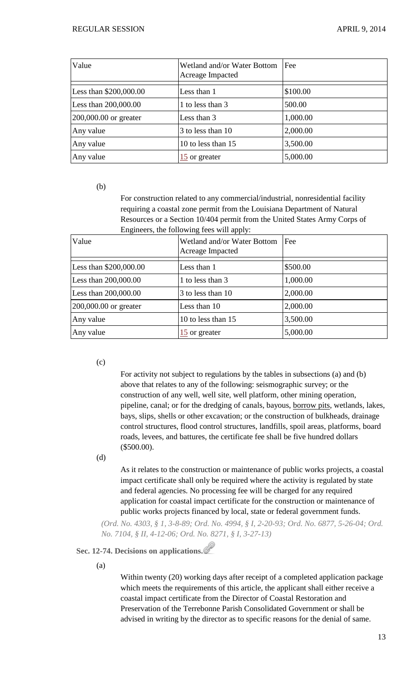| Value                    | Wetland and/or Water Bottom<br>Acreage Impacted | Fee      |
|--------------------------|-------------------------------------------------|----------|
| Less than \$200,000.00   | Less than 1                                     | \$100.00 |
| Less than 200,000.00     | 1 to less than 3                                | 500.00   |
| $[200,000.00$ or greater | Less than 3                                     | 1,000.00 |
| Any value                | 3 to less than 10                               | 2,000.00 |
| Any value                | 10 to less than 15                              | 3,500.00 |
| Any value                | $\frac{15}{2}$ or greater                       | 5,000.00 |

(b)

For construction related to any commercial/industrial, nonresidential facility requiring a coastal zone permit from the Louisiana Department of Natural Resources or a Section 10/404 permit from the United States Army Corps of Engineers, the following fees will apply:

| Value                   | Wetland and/or Water Bottom<br>Acreage Impacted | Fee      |
|-------------------------|-------------------------------------------------|----------|
| Less than \$200,000.00  | Less than 1                                     | \$500.00 |
| Less than $200,000.00$  | 1 to less than 3                                | 1,000.00 |
| Less than $200,000.00$  | 3 to less than 10                               | 2,000.00 |
| $200,000.00$ or greater | Less than 10                                    | 2,000.00 |
| Any value               | 10 to less than 15                              | 3,500.00 |
| Any value               | 15 or greater                                   | 5,000.00 |

(c)

For activity not subject to regulations by the tables in subsections (a) and (b) above that relates to any of the following: seismographic survey; or the construction of any well, well site, well platform, other mining operation, pipeline, canal; or for the dredging of canals, bayous, borrow pits, wetlands, lakes, bays, slips, shells or other excavation; or the construction of bulkheads, drainage control structures, flood control structures, landfills, spoil areas, platforms, board roads, levees, and battures, the certificate fee shall be five hundred dollars (\$500.00).

(d)

As it relates to the construction or maintenance of public works projects, a coastal impact certificate shall only be required where the activity is regulated by state and federal agencies. No processing fee will be charged for any required application for coastal impact certificate for the construction or maintenance of public works projects financed by local, state or federal government funds.

*(Ord. No. 4303, § 1, 3-8-89; Ord. No. 4994, § I, 2-20-93; Ord. No. 6877, 5-26-04; Ord. No. 7104, § II, 4-12-06; Ord. No. 8271, § I, 3-27-13)*

# **Sec. 12-74. Decisions on applications.**

(a)

Within twenty (20) working days after receipt of a completed application package which meets the requirements of this article, the applicant shall either receive a coastal impact certificate from the Director of Coastal Restoration and Preservation of the Terrebonne Parish Consolidated Government or shall be advised in writing by the director as to specific reasons for the denial of same.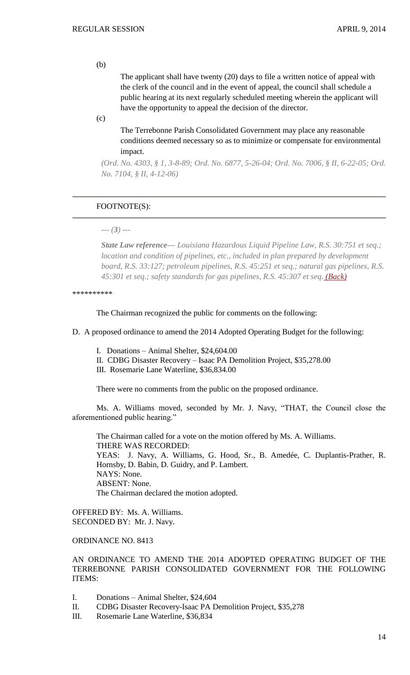#### (b)

The applicant shall have twenty (20) days to file a written notice of appeal with the clerk of the council and in the event of appeal, the council shall schedule a public hearing at its next regularly scheduled meeting wherein the applicant will have the opportunity to appeal the decision of the director.

(c)

The Terrebonne Parish Consolidated Government may place any reasonable conditions deemed necessary so as to minimize or compensate for environmental impact.

*(Ord. No. 4303, § 1, 3-8-89; Ord. No. 6877, 5-26-04; Ord. No. 7006, § II, 6-22-05; Ord. No. 7104, § II, 4-12-06)*

# FOOTNOTE(S):

*--- (3) ---*

*State Law reference— Louisiana Hazardous Liquid Pipeline Law, R.S. 30:751 et seq.; location and condition of pipelines, etc., included in plan prepared by development board, R.S. 33:127; petroleum pipelines, R.S. 45:251 et seq.; natural gas pipelines, R.S. 45:301 et seq.; safety standards for gas pipelines, R.S. 45:307 et seq. [\(Back\)](http://library.municode.com/HTML/10737/level3/PTIIPACO_CH12GAPEPISEET_ARTIIIPISEWESIBUCO.html#ref.fn_42)*

\*\*\*\*\*\*\*\*\*\*

The Chairman recognized the public for comments on the following:

D. A proposed ordinance to amend the 2014 Adopted Operating Budget for the following:

I. Donations – Animal Shelter, \$24,604.00

- II. CDBG Disaster Recovery Isaac PA Demolition Project, \$35,278.00
- III. Rosemarie Lane Waterline, \$36,834.00

There were no comments from the public on the proposed ordinance.

Ms. A. Williams moved, seconded by Mr. J. Navy, "THAT, the Council close the aforementioned public hearing."

The Chairman called for a vote on the motion offered by Ms. A. Williams. THERE WAS RECORDED: YEAS: J. Navy, A. Williams, G. Hood, Sr., B. Amedée, C. Duplantis-Prather, R. Hornsby, D. Babin, D. Guidry, and P. Lambert. NAYS: None. ABSENT: None. The Chairman declared the motion adopted.

OFFERED BY: Ms. A. Williams. SECONDED BY: Mr. J. Navy.

ORDINANCE NO. 8413

AN ORDINANCE TO AMEND THE 2014 ADOPTED OPERATING BUDGET OF THE TERREBONNE PARISH CONSOLIDATED GOVERNMENT FOR THE FOLLOWING ITEMS:

- I. Donations Animal Shelter, \$24,604
- II. CDBG Disaster Recovery-Isaac PA Demolition Project, \$35,278
- III. Rosemarie Lane Waterline, \$36,834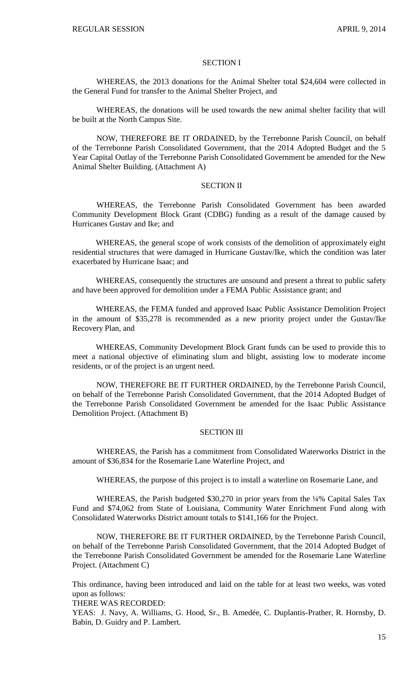#### SECTION I

WHEREAS, the 2013 donations for the Animal Shelter total \$24,604 were collected in the General Fund for transfer to the Animal Shelter Project, and

WHEREAS, the donations will be used towards the new animal shelter facility that will be built at the North Campus Site.

NOW, THEREFORE BE IT ORDAINED, by the Terrebonne Parish Council, on behalf of the Terrebonne Parish Consolidated Government, that the 2014 Adopted Budget and the 5 Year Capital Outlay of the Terrebonne Parish Consolidated Government be amended for the New Animal Shelter Building. (Attachment A)

# SECTION II

WHEREAS, the Terrebonne Parish Consolidated Government has been awarded Community Development Block Grant (CDBG) funding as a result of the damage caused by Hurricanes Gustav and Ike; and

WHEREAS, the general scope of work consists of the demolition of approximately eight residential structures that were damaged in Hurricane Gustav/Ike, which the condition was later exacerbated by Hurricane Isaac; and

WHEREAS, consequently the structures are unsound and present a threat to public safety and have been approved for demolition under a FEMA Public Assistance grant; and

WHEREAS, the FEMA funded and approved Isaac Public Assistance Demolition Project in the amount of \$35,278 is recommended as a new priority project under the Gustav/Ike Recovery Plan, and

WHEREAS, Community Development Block Grant funds can be used to provide this to meet a national objective of eliminating slum and blight, assisting low to moderate income residents, or of the project is an urgent need.

NOW, THEREFORE BE IT FURTHER ORDAINED, by the Terrebonne Parish Council, on behalf of the Terrebonne Parish Consolidated Government, that the 2014 Adopted Budget of the Terrebonne Parish Consolidated Government be amended for the Isaac Public Assistance Demolition Project. (Attachment B)

# SECTION III

WHEREAS, the Parish has a commitment from Consolidated Waterworks District in the amount of \$36,834 for the Rosemarie Lane Waterline Project, and

WHEREAS, the purpose of this project is to install a waterline on Rosemarie Lane, and

WHEREAS, the Parish budgeted \$30,270 in prior years from the ¼% Capital Sales Tax Fund and \$74,062 from State of Louisiana, Community Water Enrichment Fund along with Consolidated Waterworks District amount totals to \$141,166 for the Project.

NOW, THEREFORE BE IT FURTHER ORDAINED, by the Terrebonne Parish Council, on behalf of the Terrebonne Parish Consolidated Government, that the 2014 Adopted Budget of the Terrebonne Parish Consolidated Government be amended for the Rosemarie Lane Waterline Project. (Attachment C)

This ordinance, having been introduced and laid on the table for at least two weeks, was voted upon as follows:

THERE WAS RECORDED:

YEAS: J. Navy, A. Williams, G. Hood, Sr., B. Amedée, C. Duplantis-Prather, R. Hornsby, D. Babin, D. Guidry and P. Lambert.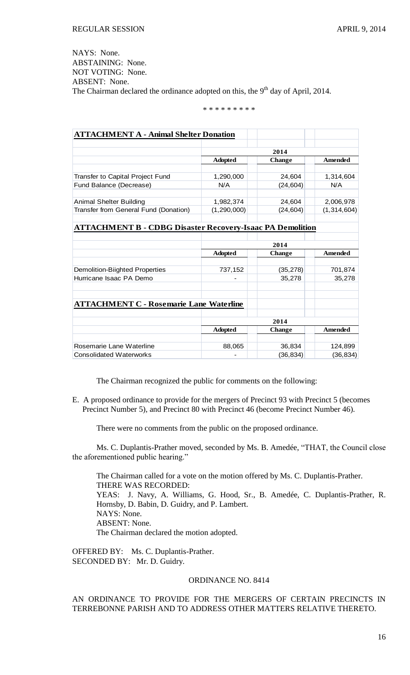NAYS: None. ABSTAINING: None. NOT VOTING: None. ABSENT: None. The Chairman declared the ordinance adopted on this, the 9<sup>th</sup> day of April, 2014.

\* \* \* \* \* \* \* \* \*

| <b>ATTACHMENT A - Animal Shelter Donation</b>                    |                |               |                |  |  |  |
|------------------------------------------------------------------|----------------|---------------|----------------|--|--|--|
|                                                                  | 2014           |               |                |  |  |  |
|                                                                  | <b>Adopted</b> | <b>Change</b> | <b>Amended</b> |  |  |  |
| Transfer to Capital Project Fund                                 | 1,290,000      | 24,604        | 1,314,604      |  |  |  |
| Fund Balance (Decrease)                                          | N/A            | (24, 604)     | N/A            |  |  |  |
| Animal Shelter Building                                          | 1,982,374      | 24,604        | 2,006,978      |  |  |  |
| Transfer from General Fund (Donation)                            | (1, 290, 000)  | (24, 604)     | (1,314,604)    |  |  |  |
| <b>ATTACHMENT B - CDBG Disaster Recovery-Isaac PA Demolition</b> |                |               |                |  |  |  |
|                                                                  | 2014           |               |                |  |  |  |
|                                                                  | <b>Adopted</b> | <b>Change</b> | <b>Amended</b> |  |  |  |
|                                                                  |                |               |                |  |  |  |
| <b>Demolition-Biighted Properties</b>                            | 737,152        | (35, 278)     | 701,874        |  |  |  |
| Hurricane Isaac PA Demo                                          |                | 35,278        | 35,278         |  |  |  |
|                                                                  |                |               |                |  |  |  |
| <b>ATTACHMENT C - Rosemarie Lane Waterline</b>                   |                |               |                |  |  |  |
|                                                                  | 2014           |               |                |  |  |  |
|                                                                  | <b>Adopted</b> | <b>Change</b> | <b>Amended</b> |  |  |  |
| Rosemarie Lane Waterline                                         | 88,065         | 36,834        | 124,899        |  |  |  |
| <b>Consolidated Waterworks</b>                                   |                | (36, 834)     | (36, 834)      |  |  |  |

The Chairman recognized the public for comments on the following:

E. A proposed ordinance to provide for the mergers of Precinct 93 with Precinct 5 (becomes Precinct Number 5), and Precinct 80 with Precinct 46 (become Precinct Number 46).

There were no comments from the public on the proposed ordinance.

Ms. C. Duplantis-Prather moved, seconded by Ms. B. Amedée, "THAT, the Council close the aforementioned public hearing."

The Chairman called for a vote on the motion offered by Ms. C. Duplantis-Prather. THERE WAS RECORDED: YEAS: J. Navy, A. Williams, G. Hood, Sr., B. Amedée, C. Duplantis-Prather, R. Hornsby, D. Babin, D. Guidry, and P. Lambert. NAYS: None. ABSENT: None. The Chairman declared the motion adopted.

OFFERED BY: Ms. C. Duplantis-Prather. SECONDED BY: Mr. D. Guidry.

# ORDINANCE NO. 8414

# AN ORDINANCE TO PROVIDE FOR THE MERGERS OF CERTAIN PRECINCTS IN TERREBONNE PARISH AND TO ADDRESS OTHER MATTERS RELATIVE THERETO.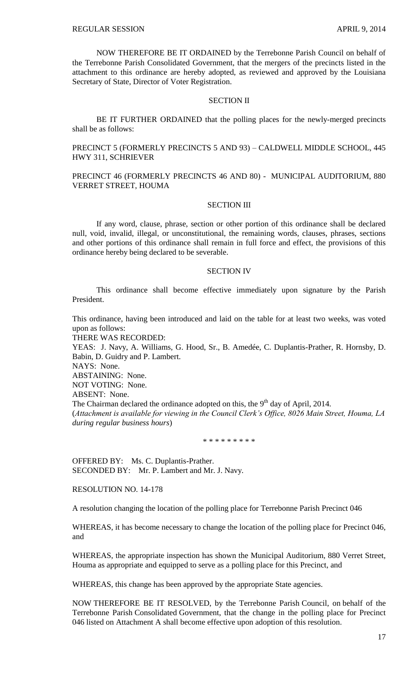NOW THEREFORE BE IT ORDAINED by the Terrebonne Parish Council on behalf of the Terrebonne Parish Consolidated Government, that the mergers of the precincts listed in the attachment to this ordinance are hereby adopted, as reviewed and approved by the Louisiana Secretary of State, Director of Voter Registration.

#### SECTION II

BE IT FURTHER ORDAINED that the polling places for the newly-merged precincts shall be as follows:

PRECINCT 5 (FORMERLY PRECINCTS 5 AND 93) – CALDWELL MIDDLE SCHOOL, 445 HWY 311, SCHRIEVER

PRECINCT 46 (FORMERLY PRECINCTS 46 AND 80) - MUNICIPAL AUDITORIUM, 880 VERRET STREET, HOUMA

#### SECTION III

If any word, clause, phrase, section or other portion of this ordinance shall be declared null, void, invalid, illegal, or unconstitutional, the remaining words, clauses, phrases, sections and other portions of this ordinance shall remain in full force and effect, the provisions of this ordinance hereby being declared to be severable.

#### SECTION IV

This ordinance shall become effective immediately upon signature by the Parish President.

This ordinance, having been introduced and laid on the table for at least two weeks, was voted upon as follows: THERE WAS RECORDED:

YEAS: J. Navy, A. Williams, G. Hood, Sr., B. Amedée, C. Duplantis-Prather, R. Hornsby, D. Babin, D. Guidry and P. Lambert.

NAYS: None.

ABSTAINING: None.

NOT VOTING: None.

ABSENT: None.

The Chairman declared the ordinance adopted on this, the 9<sup>th</sup> day of April, 2014. (*Attachment is available for viewing in the Council Clerk's Office, 8026 Main Street, Houma, LA during regular business hours*)

\* \* \* \* \* \* \* \* \*

OFFERED BY: Ms. C. Duplantis-Prather. SECONDED BY: Mr. P. Lambert and Mr. J. Navy.

RESOLUTION NO. 14-178

A resolution changing the location of the polling place for Terrebonne Parish Precinct 046

WHEREAS, it has become necessary to change the location of the polling place for Precinct 046, and

WHEREAS, the appropriate inspection has shown the Municipal Auditorium, 880 Verret Street, Houma as appropriate and equipped to serve as a polling place for this Precinct, and

WHEREAS, this change has been approved by the appropriate State agencies.

NOW THEREFORE BE IT RESOLVED, by the Terrebonne Parish Council, on behalf of the Terrebonne Parish Consolidated Government, that the change in the polling place for Precinct 046 listed on Attachment A shall become effective upon adoption of this resolution.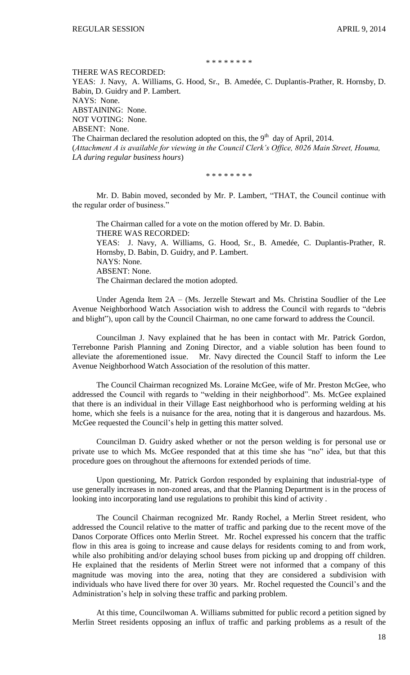## \* \* \* \* \* \* \* \*

THERE WAS RECORDED:

YEAS: J. Navy, A. Williams, G. Hood, Sr., B. Amedée, C. Duplantis-Prather, R. Hornsby, D. Babin, D. Guidry and P. Lambert. NAYS: None. ABSTAINING: None. NOT VOTING: None. ABSENT: None. The Chairman declared the resolution adopted on this, the  $9<sup>th</sup>$  day of April, 2014.

(*Attachment A is available for viewing in the Council Clerk's Office, 8026 Main Street, Houma, LA during regular business hours*)

\* \* \* \* \* \* \* \*

Mr. D. Babin moved, seconded by Mr. P. Lambert, "THAT, the Council continue with the regular order of business."

The Chairman called for a vote on the motion offered by Mr. D. Babin. THERE WAS RECORDED: YEAS: J. Navy, A. Williams, G. Hood, Sr., B. Amedée, C. Duplantis-Prather, R. Hornsby, D. Babin, D. Guidry, and P. Lambert. NAYS: None. ABSENT: None. The Chairman declared the motion adopted.

Under Agenda Item 2A – (Ms. Jerzelle Stewart and Ms. Christina Soudlier of the Lee Avenue Neighborhood Watch Association wish to address the Council with regards to "debris and blight"), upon call by the Council Chairman, no one came forward to address the Council.

Councilman J. Navy explained that he has been in contact with Mr. Patrick Gordon, Terrebonne Parish Planning and Zoning Director, and a viable solution has been found to alleviate the aforementioned issue. Mr. Navy directed the Council Staff to inform the Lee Avenue Neighborhood Watch Association of the resolution of this matter.

The Council Chairman recognized Ms. Loraine McGee, wife of Mr. Preston McGee, who addressed the Council with regards to "welding in their neighborhood". Ms. McGee explained that there is an individual in their Village East neighborhood who is performing welding at his home, which she feels is a nuisance for the area, noting that it is dangerous and hazardous. Ms. McGee requested the Council's help in getting this matter solved.

Councilman D. Guidry asked whether or not the person welding is for personal use or private use to which Ms. McGee responded that at this time she has "no" idea, but that this procedure goes on throughout the afternoons for extended periods of time.

Upon questioning, Mr. Patrick Gordon responded by explaining that industrial-type of use generally increases in non-zoned areas, and that the Planning Department is in the process of looking into incorporating land use regulations to prohibit this kind of activity .

The Council Chairman recognized Mr. Randy Rochel, a Merlin Street resident, who addressed the Council relative to the matter of traffic and parking due to the recent move of the Danos Corporate Offices onto Merlin Street. Mr. Rochel expressed his concern that the traffic flow in this area is going to increase and cause delays for residents coming to and from work, while also prohibiting and/or delaying school buses from picking up and dropping off children. He explained that the residents of Merlin Street were not informed that a company of this magnitude was moving into the area, noting that they are considered a subdivision with individuals who have lived there for over 30 years. Mr. Rochel requested the Council's and the Administration's help in solving these traffic and parking problem.

At this time, Councilwoman A. Williams submitted for public record a petition signed by Merlin Street residents opposing an influx of traffic and parking problems as a result of the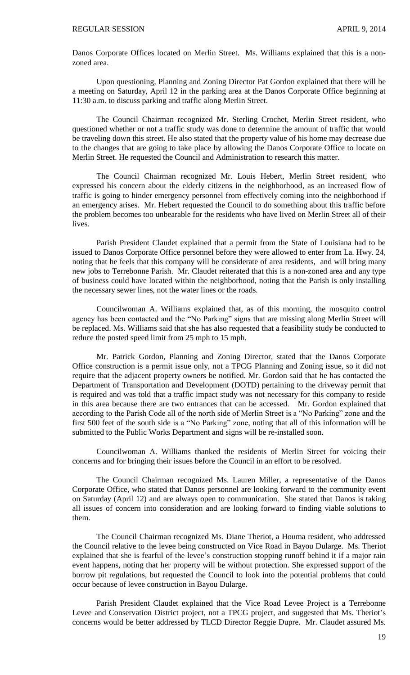Danos Corporate Offices located on Merlin Street. Ms. Williams explained that this is a nonzoned area.

Upon questioning, Planning and Zoning Director Pat Gordon explained that there will be a meeting on Saturday, April 12 in the parking area at the Danos Corporate Office beginning at 11:30 a.m. to discuss parking and traffic along Merlin Street.

 The Council Chairman recognized Mr. Sterling Crochet, Merlin Street resident, who questioned whether or not a traffic study was done to determine the amount of traffic that would be traveling down this street. He also stated that the property value of his home may decrease due to the changes that are going to take place by allowing the Danos Corporate Office to locate on Merlin Street. He requested the Council and Administration to research this matter.

The Council Chairman recognized Mr. Louis Hebert, Merlin Street resident, who expressed his concern about the elderly citizens in the neighborhood, as an increased flow of traffic is going to hinder emergency personnel from effectively coming into the neighborhood if an emergency arises. Mr. Hebert requested the Council to do something about this traffic before the problem becomes too unbearable for the residents who have lived on Merlin Street all of their lives.

Parish President Claudet explained that a permit from the State of Louisiana had to be issued to Danos Corporate Office personnel before they were allowed to enter from La. Hwy. 24, noting that he feels that this company will be considerate of area residents, and will bring many new jobs to Terrebonne Parish. Mr. Claudet reiterated that this is a non-zoned area and any type of business could have located within the neighborhood, noting that the Parish is only installing the necessary sewer lines, not the water lines or the roads.

Councilwoman A. Williams explained that, as of this morning, the mosquito control agency has been contacted and the "No Parking" signs that are missing along Merlin Street will be replaced. Ms. Williams said that she has also requested that a feasibility study be conducted to reduce the posted speed limit from 25 mph to 15 mph.

Mr. Patrick Gordon, Planning and Zoning Director, stated that the Danos Corporate Office construction is a permit issue only, not a TPCG Planning and Zoning issue, so it did not require that the adjacent property owners be notified. Mr. Gordon said that he has contacted the Department of Transportation and Development (DOTD) pertaining to the driveway permit that is required and was told that a traffic impact study was not necessary for this company to reside in this area because there are two entrances that can be accessed. Mr. Gordon explained that according to the Parish Code all of the north side of Merlin Street is a "No Parking" zone and the first 500 feet of the south side is a "No Parking" zone, noting that all of this information will be submitted to the Public Works Department and signs will be re-installed soon.

Councilwoman A. Williams thanked the residents of Merlin Street for voicing their concerns and for bringing their issues before the Council in an effort to be resolved.

The Council Chairman recognized Ms. Lauren Miller, a representative of the Danos Corporate Office, who stated that Danos personnel are looking forward to the community event on Saturday (April 12) and are always open to communication. She stated that Danos is taking all issues of concern into consideration and are looking forward to finding viable solutions to them.

The Council Chairman recognized Ms. Diane Theriot, a Houma resident, who addressed the Council relative to the levee being constructed on Vice Road in Bayou Dularge. Ms. Theriot explained that she is fearful of the levee's construction stopping runoff behind it if a major rain event happens, noting that her property will be without protection. She expressed support of the borrow pit regulations, but requested the Council to look into the potential problems that could occur because of levee construction in Bayou Dularge.

Parish President Claudet explained that the Vice Road Levee Project is a Terrebonne Levee and Conservation District project, not a TPCG project, and suggested that Ms. Theriot's concerns would be better addressed by TLCD Director Reggie Dupre. Mr. Claudet assured Ms.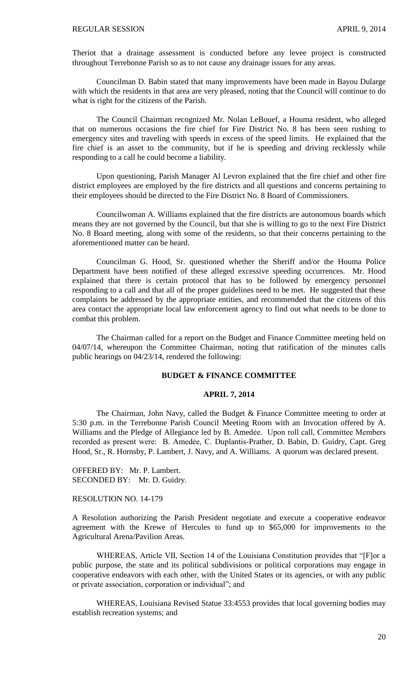Theriot that a drainage assessment is conducted before any levee project is constructed throughout Terrebonne Parish so as to not cause any drainage issues for any areas.

Councilman D. Babin stated that many improvements have been made in Bayou Dularge with which the residents in that area are very pleased, noting that the Council will continue to do what is right for the citizens of the Parish.

The Council Chairman recognized Mr. Nolan LeBouef, a Houma resident, who alleged that on numerous occasions the fire chief for Fire District No. 8 has been seen rushing to emergency sites and traveling with speeds in excess of the speed limits. He explained that the fire chief is an asset to the community, but if he is speeding and driving recklessly while responding to a call he could become a liability.

Upon questioning, Parish Manager Al Levron explained that the fire chief and other fire district employees are employed by the fire districts and all questions and concerns pertaining to their employees should be directed to the Fire District No. 8 Board of Commissioners.

Councilwoman A. Williams explained that the fire districts are autonomous boards which means they are not governed by the Council, but that she is willing to go to the next Fire District No. 8 Board meeting, along with some of the residents, so that their concerns pertaining to the aforementioned matter can be heard.

Councilman G. Hood, Sr. questioned whether the Sheriff and/or the Houma Police Department have been notified of these alleged excessive speeding occurrences. Mr. Hood explained that there is certain protocol that has to be followed by emergency personnel responding to a call and that all of the proper guidelines need to be met. He suggested that these complaints be addressed by the appropriate entities, and recommended that the citizens of this area contact the appropriate local law enforcement agency to find out what needs to be done to combat this problem.

The Chairman called for a report on the Budget and Finance Committee meeting held on 04/07/14, whereupon the Committee Chairman, noting that ratification of the minutes calls public hearings on 04/23/14, rendered the following:

#### **BUDGET & FINANCE COMMITTEE**

# **APRIL 7, 2014**

The Chairman, John Navy, called the Budget & Finance Committee meeting to order at 5:30 p.m. in the Terrebonne Parish Council Meeting Room with an Invocation offered by A. Williams and the Pledge of Allegiance led by B. Amedẻe. Upon roll call, Committee Members recorded as present were: B. Amedée, C. Duplantis-Prather, D. Babin, D. Guidry, Capt. Greg Hood, Sr., R. Hornsby, P. Lambert, J. Navy, and A. Williams. A quorum was declared present.

OFFERED BY: Mr. P. Lambert. SECONDED BY: Mr. D. Guidry.

#### RESOLUTION NO. 14-179

A Resolution authorizing the Parish President negotiate and execute a cooperative endeavor agreement with the Krewe of Hercules to fund up to \$65,000 for improvements to the Agricultural Arena/Pavilion Areas.

WHEREAS, Article VII, Section 14 of the Louisiana Constitution provides that "[F]or a public purpose, the state and its political subdivisions or political corporations may engage in cooperative endeavors with each other, with the United States or its agencies, or with any public or private association, corporation or individual"; and

WHEREAS, Louisiana Revised Statue 33:4553 provides that local governing bodies may establish recreation systems; and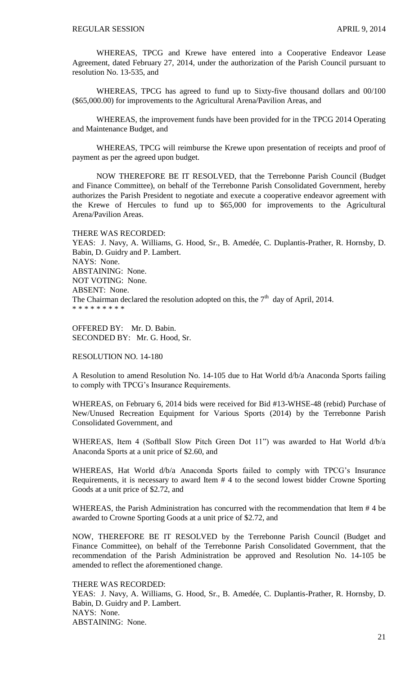WHEREAS, TPCG and Krewe have entered into a Cooperative Endeavor Lease Agreement, dated February 27, 2014, under the authorization of the Parish Council pursuant to resolution No. 13-535, and

WHEREAS, TPCG has agreed to fund up to Sixty-five thousand dollars and 00/100 (\$65,000.00) for improvements to the Agricultural Arena/Pavilion Areas, and

WHEREAS, the improvement funds have been provided for in the TPCG 2014 Operating and Maintenance Budget, and

WHEREAS, TPCG will reimburse the Krewe upon presentation of receipts and proof of payment as per the agreed upon budget.

NOW THEREFORE BE IT RESOLVED, that the Terrebonne Parish Council (Budget and Finance Committee), on behalf of the Terrebonne Parish Consolidated Government, hereby authorizes the Parish President to negotiate and execute a cooperative endeavor agreement with the Krewe of Hercules to fund up to \$65,000 for improvements to the Agricultural Arena/Pavilion Areas.

THERE WAS RECORDED: YEAS: J. Navy, A. Williams, G. Hood, Sr., B. Amedée, C. Duplantis-Prather, R. Hornsby, D. Babin, D. Guidry and P. Lambert. NAYS: None. ABSTAINING: None. NOT VOTING: None. ABSENT: None. The Chairman declared the resolution adopted on this, the  $7<sup>th</sup>$  day of April, 2014. \* \* \* \* \* \* \* \* \*

OFFERED BY: Mr. D. Babin. SECONDED BY: Mr. G. Hood, Sr.

# RESOLUTION NO. 14-180

A Resolution to amend Resolution No. 14-105 due to Hat World d/b/a Anaconda Sports failing to comply with TPCG's Insurance Requirements.

WHEREAS, on February 6, 2014 bids were received for Bid #13-WHSE-48 (rebid) Purchase of New/Unused Recreation Equipment for Various Sports (2014) by the Terrebonne Parish Consolidated Government, and

WHEREAS, Item 4 (Softball Slow Pitch Green Dot 11") was awarded to Hat World d/b/a Anaconda Sports at a unit price of \$2.60, and

WHEREAS, Hat World d/b/a Anaconda Sports failed to comply with TPCG's Insurance Requirements, it is necessary to award Item # 4 to the second lowest bidder Crowne Sporting Goods at a unit price of \$2.72, and

WHEREAS, the Parish Administration has concurred with the recommendation that Item # 4 be awarded to Crowne Sporting Goods at a unit price of \$2.72, and

NOW, THEREFORE BE IT RESOLVED by the Terrebonne Parish Council (Budget and Finance Committee), on behalf of the Terrebonne Parish Consolidated Government, that the recommendation of the Parish Administration be approved and Resolution No. 14-105 be amended to reflect the aforementioned change.

# THERE WAS RECORDED:

YEAS: J. Navy, A. Williams, G. Hood, Sr., B. Amedée, C. Duplantis-Prather, R. Hornsby, D. Babin, D. Guidry and P. Lambert. NAYS: None. ABSTAINING: None.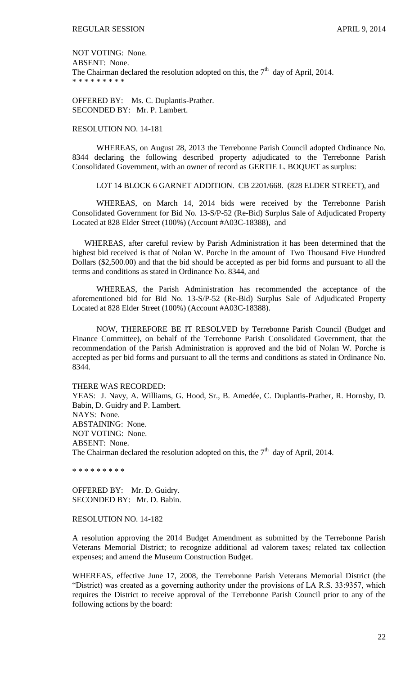NOT VOTING: None. ABSENT: None. The Chairman declared the resolution adopted on this, the  $7<sup>th</sup>$  day of April, 2014. \* \* \* \* \* \* \* \* \*

OFFERED BY: Ms. C. Duplantis-Prather. SECONDED BY: Mr. P. Lambert.

# RESOLUTION NO. 14-181

WHEREAS, on August 28, 2013 the Terrebonne Parish Council adopted Ordinance No. 8344 declaring the following described property adjudicated to the Terrebonne Parish Consolidated Government, with an owner of record as GERTIE L. BOQUET as surplus:

LOT 14 BLOCK 6 GARNET ADDITION. CB 2201/668. (828 ELDER STREET), and

WHEREAS, on March 14, 2014 bids were received by the Terrebonne Parish Consolidated Government for Bid No. 13-S/P-52 (Re-Bid) Surplus Sale of Adjudicated Property Located at 828 Elder Street (100%) (Account #A03C-18388), and

WHEREAS, after careful review by Parish Administration it has been determined that the highest bid received is that of Nolan W. Porche in the amount of Two Thousand Five Hundred Dollars (\$2,500.00) and that the bid should be accepted as per bid forms and pursuant to all the terms and conditions as stated in Ordinance No. 8344, and

 WHEREAS, the Parish Administration has recommended the acceptance of the aforementioned bid for Bid No. 13-S/P-52 (Re-Bid) Surplus Sale of Adjudicated Property Located at 828 Elder Street (100%) (Account #A03C-18388).

NOW, THEREFORE BE IT RESOLVED by Terrebonne Parish Council (Budget and Finance Committee), on behalf of the Terrebonne Parish Consolidated Government, that the recommendation of the Parish Administration is approved and the bid of Nolan W. Porche is accepted as per bid forms and pursuant to all the terms and conditions as stated in Ordinance No. 8344.

THERE WAS RECORDED:

YEAS: J. Navy, A. Williams, G. Hood, Sr., B. Amedée, C. Duplantis-Prather, R. Hornsby, D. Babin, D. Guidry and P. Lambert. NAYS: None. ABSTAINING: None. NOT VOTING: None. ABSENT: None. The Chairman declared the resolution adopted on this, the  $7<sup>th</sup>$  day of April, 2014.

\* \* \* \* \* \* \* \* \*

OFFERED BY: Mr. D. Guidry. SECONDED BY: Mr. D. Babin.

# RESOLUTION NO. 14-182

A resolution approving the 2014 Budget Amendment as submitted by the Terrebonne Parish Veterans Memorial District; to recognize additional ad valorem taxes; related tax collection expenses; and amend the Museum Construction Budget.

WHEREAS, effective June 17, 2008, the Terrebonne Parish Veterans Memorial District (the "District) was created as a governing authority under the provisions of LA R.S. 33:9357, which requires the District to receive approval of the Terrebonne Parish Council prior to any of the following actions by the board: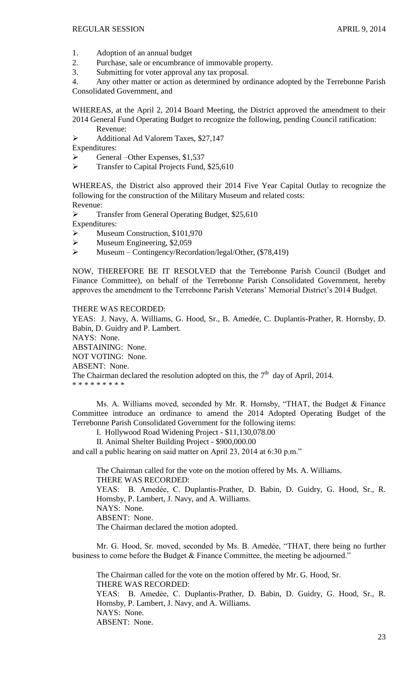- 1. Adoption of an annual budget
- 2. Purchase, sale or encumbrance of immovable property.
- 3. Submitting for voter approval any tax proposal.

4. Any other matter or action as determined by ordinance adopted by the Terrebonne Parish Consolidated Government, and

WHEREAS, at the April 2, 2014 Board Meeting, the District approved the amendment to their 2014 General Fund Operating Budget to recognize the following, pending Council ratification: Revenue:

Additional Ad Valorem Taxes, \$27,147

Expenditures:

 $\triangleright$  General –Other Expenses, \$1,537

Transfer to Capital Projects Fund, \$25,610

WHEREAS, the District also approved their 2014 Five Year Capital Outlay to recognize the following for the construction of the Military Museum and related costs: Revenue:

**Example 3** Transfer from General Operating Budget, \$25,610

Expenditures:

- Museum Construction, \$101,970
- $\blacktriangleright$  Museum Engineering, \$2,059
- $\triangleright$  Museum Contingency/Recordation/legal/Other, (\$78,419)

NOW, THEREFORE BE IT RESOLVED that the Terrebonne Parish Council (Budget and Finance Committee), on behalf of the Terrebonne Parish Consolidated Government, hereby approves the amendment to the Terrebonne Parish Veterans' Memorial District's 2014 Budget.

THERE WAS RECORDED:

YEAS: J. Navy, A. Williams, G. Hood, Sr., B. Amedée, C. Duplantis-Prather, R. Hornsby, D. Babin, D. Guidry and P. Lambert. NAYS: None. ABSTAINING: None. NOT VOTING: None. ABSENT: None. The Chairman declared the resolution adopted on this, the  $7<sup>th</sup>$  day of April, 2014. \* \* \* \* \* \* \* \* \*

Ms. A. Williams moved, seconded by Mr. R. Hornsby, "THAT, the Budget & Finance Committee introduce an ordinance to amend the 2014 Adopted Operating Budget of the Terrebonne Parish Consolidated Government for the following items:

I. Hollywood Road Widening Project - \$11,130,078.00

II. Animal Shelter Building Project - \$900,000.00

and call a public hearing on said matter on April 23, 2014 at 6:30 p.m."

The Chairman called for the vote on the motion offered by Ms. A. Williams. THERE WAS RECORDED:

YEAS: B. Amedėe, C. Duplantis-Prather, D. Babin, D. Guidry, G. Hood, Sr., R. Hornsby, P. Lambert, J. Navy, and A. Williams.

NAYS: None.

ABSENT: None.

The Chairman declared the motion adopted.

Mr. G. Hood, Sr. moved, seconded by Ms. B. Amedẻe, "THAT, there being no further business to come before the Budget & Finance Committee, the meeting be adjourned."

The Chairman called for the vote on the motion offered by Mr. G. Hood, Sr. THERE WAS RECORDED: YEAS: B. Amedẻe, C. Duplantis-Prather, D. Babin, D. Guidry, G. Hood, Sr., R. Hornsby, P. Lambert, J. Navy, and A. Williams. NAYS: None. ABSENT: None.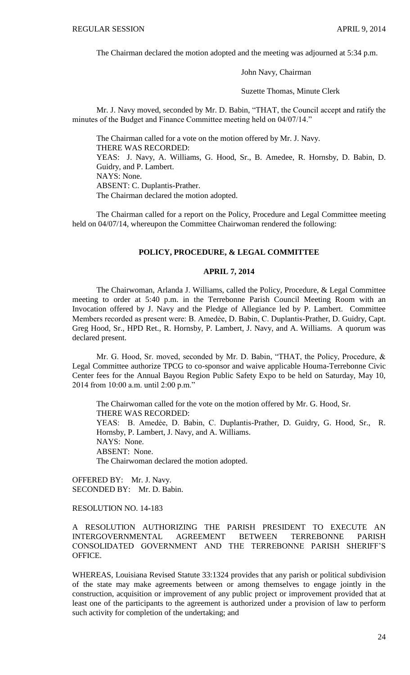The Chairman declared the motion adopted and the meeting was adjourned at 5:34 p.m.

John Navy, Chairman

Suzette Thomas, Minute Clerk

Mr. J. Navy moved, seconded by Mr. D. Babin, "THAT, the Council accept and ratify the minutes of the Budget and Finance Committee meeting held on 04/07/14."

The Chairman called for a vote on the motion offered by Mr. J. Navy. THERE WAS RECORDED: YEAS: J. Navy, A. Williams, G. Hood, Sr., B. Amedee, R. Hornsby, D. Babin, D. Guidry, and P. Lambert. NAYS: None. ABSENT: C. Duplantis-Prather. The Chairman declared the motion adopted.

The Chairman called for a report on the Policy, Procedure and Legal Committee meeting held on 04/07/14, whereupon the Committee Chairwoman rendered the following:

# **POLICY, PROCEDURE, & LEGAL COMMITTEE**

#### **APRIL 7, 2014**

The Chairwoman, Arlanda J. Williams, called the Policy, Procedure, & Legal Committee meeting to order at 5:40 p.m. in the Terrebonne Parish Council Meeting Room with an Invocation offered by J. Navy and the Pledge of Allegiance led by P. Lambert. Committee Members recorded as present were: B. Amedẻe, D. Babin, C. Duplantis-Prather, D. Guidry, Capt. Greg Hood, Sr., HPD Ret., R. Hornsby, P. Lambert, J. Navy, and A. Williams. A quorum was declared present.

Mr. G. Hood, Sr. moved, seconded by Mr. D. Babin, "THAT, the Policy, Procedure, & Legal Committee authorize TPCG to co-sponsor and waive applicable Houma-Terrebonne Civic Center fees for the Annual Bayou Region Public Safety Expo to be held on Saturday, May 10, 2014 from 10:00 a.m. until 2:00 p.m."

The Chairwoman called for the vote on the motion offered by Mr. G. Hood, Sr. THERE WAS RECORDED: YEAS: B. Amedẻe, D. Babin, C. Duplantis-Prather, D. Guidry, G. Hood, Sr., R. Hornsby, P. Lambert, J. Navy, and A. Williams. NAYS: None. ABSENT: None. The Chairwoman declared the motion adopted.

OFFERED BY: Mr. J. Navy. SECONDED BY: Mr. D. Babin.

# RESOLUTION NO. 14-183

A RESOLUTION AUTHORIZING THE PARISH PRESIDENT TO EXECUTE AN INTERGOVERNMENTAL AGREEMENT BETWEEN TERREBONNE PARISH CONSOLIDATED GOVERNMENT AND THE TERREBONNE PARISH SHERIFF'S OFFICE.

WHEREAS, Louisiana Revised Statute 33:1324 provides that any parish or political subdivision of the state may make agreements between or among themselves to engage jointly in the construction, acquisition or improvement of any public project or improvement provided that at least one of the participants to the agreement is authorized under a provision of law to perform such activity for completion of the undertaking; and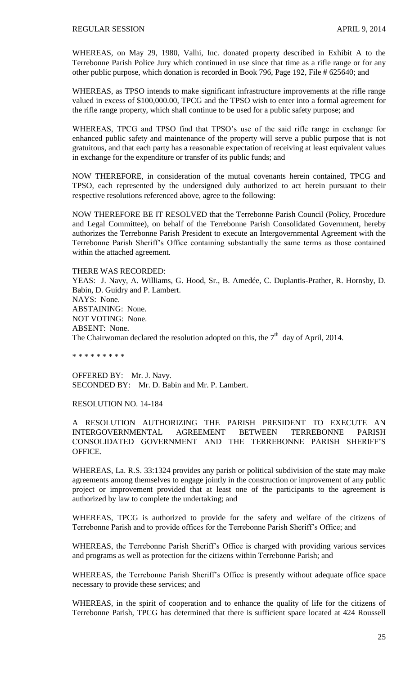WHEREAS, on May 29, 1980, Valhi, Inc. donated property described in Exhibit A to the Terrebonne Parish Police Jury which continued in use since that time as a rifle range or for any other public purpose, which donation is recorded in Book 796, Page 192, File # 625640; and

WHEREAS, as TPSO intends to make significant infrastructure improvements at the rifle range valued in excess of \$100,000.00, TPCG and the TPSO wish to enter into a formal agreement for the rifle range property, which shall continue to be used for a public safety purpose; and

WHEREAS, TPCG and TPSO find that TPSO's use of the said rifle range in exchange for enhanced public safety and maintenance of the property will serve a public purpose that is not gratuitous, and that each party has a reasonable expectation of receiving at least equivalent values in exchange for the expenditure or transfer of its public funds; and

NOW THEREFORE, in consideration of the mutual covenants herein contained, TPCG and TPSO, each represented by the undersigned duly authorized to act herein pursuant to their respective resolutions referenced above, agree to the following:

NOW THEREFORE BE IT RESOLVED that the Terrebonne Parish Council (Policy, Procedure and Legal Committee), on behalf of the Terrebonne Parish Consolidated Government, hereby authorizes the Terrebonne Parish President to execute an Intergovernmental Agreement with the Terrebonne Parish Sheriff's Office containing substantially the same terms as those contained within the attached agreement.

THERE WAS RECORDED: YEAS: J. Navy, A. Williams, G. Hood, Sr., B. Amedée, C. Duplantis-Prather, R. Hornsby, D. Babin, D. Guidry and P. Lambert. NAYS: None. ABSTAINING: None. NOT VOTING: None. ABSENT: None. The Chairwoman declared the resolution adopted on this, the  $7<sup>th</sup>$  day of April, 2014.

\* \* \* \* \* \* \* \* \*

OFFERED BY: Mr. J. Navy. SECONDED BY: Mr. D. Babin and Mr. P. Lambert.

RESOLUTION NO. 14-184

A RESOLUTION AUTHORIZING THE PARISH PRESIDENT TO EXECUTE AN INTERGOVERNMENTAL AGREEMENT BETWEEN TERREBONNE PARISH CONSOLIDATED GOVERNMENT AND THE TERREBONNE PARISH SHERIFF'S OFFICE.

WHEREAS, La. R.S. 33:1324 provides any parish or political subdivision of the state may make agreements among themselves to engage jointly in the construction or improvement of any public project or improvement provided that at least one of the participants to the agreement is authorized by law to complete the undertaking; and

WHEREAS, TPCG is authorized to provide for the safety and welfare of the citizens of Terrebonne Parish and to provide offices for the Terrebonne Parish Sheriff's Office; and

WHEREAS, the Terrebonne Parish Sheriff's Office is charged with providing various services and programs as well as protection for the citizens within Terrebonne Parish; and

WHEREAS, the Terrebonne Parish Sheriff's Office is presently without adequate office space necessary to provide these services; and

WHEREAS, in the spirit of cooperation and to enhance the quality of life for the citizens of Terrebonne Parish, TPCG has determined that there is sufficient space located at 424 Roussell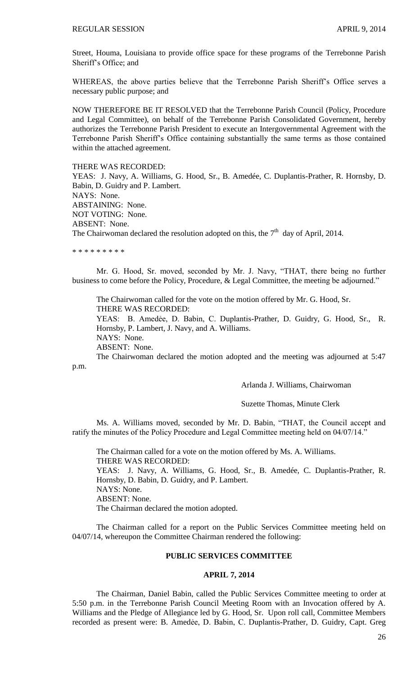Street, Houma, Louisiana to provide office space for these programs of the Terrebonne Parish Sheriff's Office; and

WHEREAS, the above parties believe that the Terrebonne Parish Sheriff's Office serves a necessary public purpose; and

NOW THEREFORE BE IT RESOLVED that the Terrebonne Parish Council (Policy, Procedure and Legal Committee), on behalf of the Terrebonne Parish Consolidated Government, hereby authorizes the Terrebonne Parish President to execute an Intergovernmental Agreement with the Terrebonne Parish Sheriff's Office containing substantially the same terms as those contained within the attached agreement.

THERE WAS RECORDED:

YEAS: J. Navy, A. Williams, G. Hood, Sr., B. Amedée, C. Duplantis-Prather, R. Hornsby, D. Babin, D. Guidry and P. Lambert. NAYS: None. ABSTAINING: None. NOT VOTING: None. ABSENT: None. The Chairwoman declared the resolution adopted on this, the  $7<sup>th</sup>$  day of April, 2014.

\* \* \* \* \* \* \* \* \*

Mr. G. Hood, Sr. moved, seconded by Mr. J. Navy, "THAT, there being no further business to come before the Policy, Procedure, & Legal Committee, the meeting be adjourned."

The Chairwoman called for the vote on the motion offered by Mr. G. Hood, Sr. THERE WAS RECORDED:

YEAS: B. Amedẻe, D. Babin, C. Duplantis-Prather, D. Guidry, G. Hood, Sr., R. Hornsby, P. Lambert, J. Navy, and A. Williams.

NAYS: None.

ABSENT: None.

The Chairwoman declared the motion adopted and the meeting was adjourned at 5:47 p.m.

Arlanda J. Williams, Chairwoman

#### Suzette Thomas, Minute Clerk

Ms. A. Williams moved, seconded by Mr. D. Babin, "THAT, the Council accept and ratify the minutes of the Policy Procedure and Legal Committee meeting held on 04/07/14."

The Chairman called for a vote on the motion offered by Ms. A. Williams. THERE WAS RECORDED: YEAS: J. Navy, A. Williams, G. Hood, Sr., B. Amedée, C. Duplantis-Prather, R. Hornsby, D. Babin, D. Guidry, and P. Lambert. NAYS: None. ABSENT: None. The Chairman declared the motion adopted.

The Chairman called for a report on the Public Services Committee meeting held on 04/07/14, whereupon the Committee Chairman rendered the following:

# **PUBLIC SERVICES COMMITTEE**

#### **APRIL 7, 2014**

The Chairman, Daniel Babin, called the Public Services Committee meeting to order at 5:50 p.m. in the Terrebonne Parish Council Meeting Room with an Invocation offered by A. Williams and the Pledge of Allegiance led by G. Hood, Sr. Upon roll call, Committee Members recorded as present were: B. Amedée, D. Babin, C. Duplantis-Prather, D. Guidry, Capt. Greg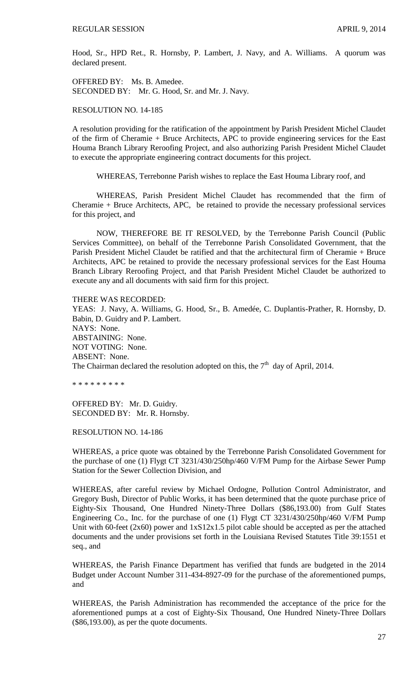Hood, Sr., HPD Ret., R. Hornsby, P. Lambert, J. Navy, and A. Williams. A quorum was declared present.

OFFERED BY: Ms. B. Amedee. SECONDED BY: Mr. G. Hood, Sr. and Mr. J. Navy.

RESOLUTION NO. 14-185

A resolution providing for the ratification of the appointment by Parish President Michel Claudet of the firm of Cheramie + Bruce Architects, APC to provide engineering services for the East Houma Branch Library Reroofing Project, and also authorizing Parish President Michel Claudet to execute the appropriate engineering contract documents for this project.

WHEREAS, Terrebonne Parish wishes to replace the East Houma Library roof, and

WHEREAS, Parish President Michel Claudet has recommended that the firm of Cheramie + Bruce Architects, APC, be retained to provide the necessary professional services for this project, and

NOW, THEREFORE BE IT RESOLVED, by the Terrebonne Parish Council (Public Services Committee), on behalf of the Terrebonne Parish Consolidated Government, that the Parish President Michel Claudet be ratified and that the architectural firm of Cheramie + Bruce Architects, APC be retained to provide the necessary professional services for the East Houma Branch Library Reroofing Project, and that Parish President Michel Claudet be authorized to execute any and all documents with said firm for this project.

THERE WAS RECORDED:

YEAS: J. Navy, A. Williams, G. Hood, Sr., B. Amedée, C. Duplantis-Prather, R. Hornsby, D. Babin, D. Guidry and P. Lambert. NAYS: None. ABSTAINING: None. NOT VOTING: None. ABSENT: None. The Chairman declared the resolution adopted on this, the  $7<sup>th</sup>$  day of April, 2014.

\* \* \* \* \* \* \* \* \*

OFFERED BY: Mr. D. Guidry. SECONDED BY: Mr. R. Hornsby.

RESOLUTION NO. 14-186

WHEREAS, a price quote was obtained by the Terrebonne Parish Consolidated Government for the purchase of one (1) Flygt CT 3231/430/250hp/460 V/FM Pump for the Airbase Sewer Pump Station for the Sewer Collection Division, and

WHEREAS, after careful review by Michael Ordogne, Pollution Control Administrator, and Gregory Bush, Director of Public Works, it has been determined that the quote purchase price of Eighty-Six Thousand, One Hundred Ninety-Three Dollars (\$86,193.00) from Gulf States Engineering Co., Inc. for the purchase of one (1) Flygt CT 3231/430/250hp/460 V/FM Pump Unit with 60-feet (2x60) power and 1xS12x1.5 pilot cable should be accepted as per the attached documents and the under provisions set forth in the Louisiana Revised Statutes Title 39:1551 et seq., and

WHEREAS, the Parish Finance Department has verified that funds are budgeted in the 2014 Budget under Account Number 311-434-8927-09 for the purchase of the aforementioned pumps, and

WHEREAS, the Parish Administration has recommended the acceptance of the price for the aforementioned pumps at a cost of Eighty-Six Thousand, One Hundred Ninety-Three Dollars (\$86,193.00), as per the quote documents.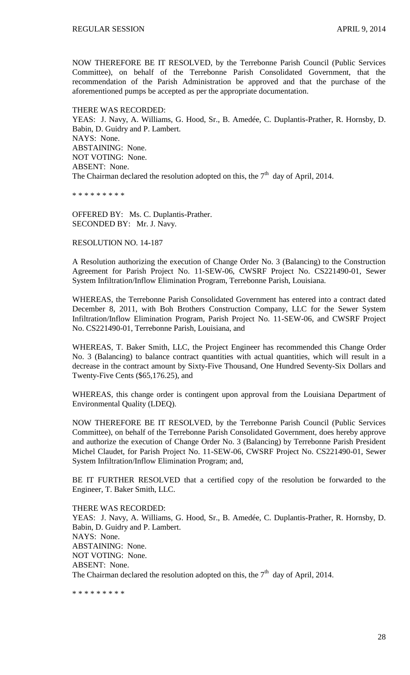NOW THEREFORE BE IT RESOLVED, by the Terrebonne Parish Council (Public Services Committee), on behalf of the Terrebonne Parish Consolidated Government, that the recommendation of the Parish Administration be approved and that the purchase of the aforementioned pumps be accepted as per the appropriate documentation.

THERE WAS RECORDED: YEAS: J. Navy, A. Williams, G. Hood, Sr., B. Amedée, C. Duplantis-Prather, R. Hornsby, D. Babin, D. Guidry and P. Lambert. NAYS: None. ABSTAINING: None. NOT VOTING: None. ABSENT: None. The Chairman declared the resolution adopted on this, the  $7<sup>th</sup>$  day of April, 2014.

\* \* \* \* \* \* \* \* \*

OFFERED BY: Ms. C. Duplantis-Prather. SECONDED BY: Mr. J. Navy.

RESOLUTION NO. 14-187

A Resolution authorizing the execution of Change Order No. 3 (Balancing) to the Construction Agreement for Parish Project No. 11-SEW-06, CWSRF Project No. CS221490-01, Sewer System Infiltration/Inflow Elimination Program, Terrebonne Parish, Louisiana.

WHEREAS, the Terrebonne Parish Consolidated Government has entered into a contract dated December 8, 2011, with Boh Brothers Construction Company, LLC for the Sewer System Infiltration/Inflow Elimination Program, Parish Project No. 11-SEW-06, and CWSRF Project No. CS221490-01, Terrebonne Parish, Louisiana, and

WHEREAS, T. Baker Smith, LLC, the Project Engineer has recommended this Change Order No. 3 (Balancing) to balance contract quantities with actual quantities, which will result in a decrease in the contract amount by Sixty-Five Thousand, One Hundred Seventy-Six Dollars and Twenty-Five Cents (\$65,176.25), and

WHEREAS, this change order is contingent upon approval from the Louisiana Department of Environmental Quality (LDEQ).

NOW THEREFORE BE IT RESOLVED, by the Terrebonne Parish Council (Public Services Committee), on behalf of the Terrebonne Parish Consolidated Government, does hereby approve and authorize the execution of Change Order No. 3 (Balancing) by Terrebonne Parish President Michel Claudet, for Parish Project No. 11-SEW-06, CWSRF Project No. CS221490-01, Sewer System Infiltration/Inflow Elimination Program; and,

BE IT FURTHER RESOLVED that a certified copy of the resolution be forwarded to the Engineer, T. Baker Smith, LLC.

THERE WAS RECORDED: YEAS: J. Navy, A. Williams, G. Hood, Sr., B. Amedée, C. Duplantis-Prather, R. Hornsby, D. Babin, D. Guidry and P. Lambert. NAYS: None. ABSTAINING: None. NOT VOTING: None. ABSENT: None. The Chairman declared the resolution adopted on this, the  $7<sup>th</sup>$  day of April, 2014.

\* \* \* \* \* \* \* \* \*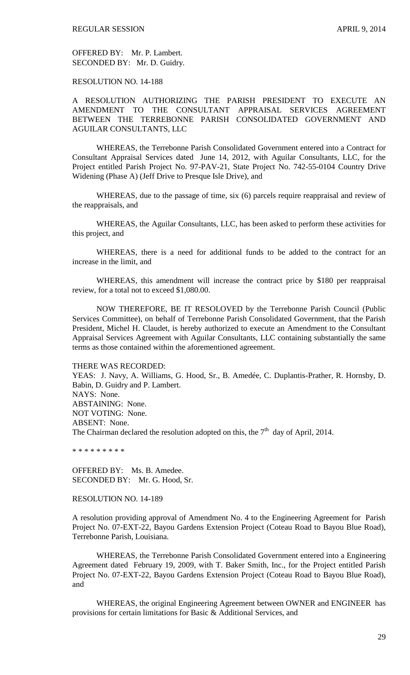OFFERED BY: Mr. P. Lambert. SECONDED BY: Mr. D. Guidry.

RESOLUTION NO. 14-188

A RESOLUTION AUTHORIZING THE PARISH PRESIDENT TO EXECUTE AN AMENDMENT TO THE CONSULTANT APPRAISAL SERVICES AGREEMENT BETWEEN THE TERREBONNE PARISH CONSOLIDATED GOVERNMENT AND AGUILAR CONSULTANTS, LLC

WHEREAS, the Terrebonne Parish Consolidated Government entered into a Contract for Consultant Appraisal Services dated June 14, 2012, with Aguilar Consultants, LLC, for the Project entitled Parish Project No. 97-PAV-21, State Project No. 742-55-0104 Country Drive Widening (Phase A) (Jeff Drive to Presque Isle Drive), and

WHEREAS, due to the passage of time, six (6) parcels require reappraisal and review of the reappraisals, and

WHEREAS, the Aguilar Consultants, LLC, has been asked to perform these activities for this project, and

WHEREAS, there is a need for additional funds to be added to the contract for an increase in the limit, and

WHEREAS, this amendment will increase the contract price by \$180 per reappraisal review, for a total not to exceed \$1,080.00.

NOW THEREFORE, BE IT RESOLOVED by the Terrebonne Parish Council (Public Services Committee), on behalf of Terrebonne Parish Consolidated Government, that the Parish President, Michel H. Claudet, is hereby authorized to execute an Amendment to the Consultant Appraisal Services Agreement with Aguilar Consultants, LLC containing substantially the same terms as those contained within the aforementioned agreement.

THERE WAS RECORDED:

YEAS: J. Navy, A. Williams, G. Hood, Sr., B. Amedée, C. Duplantis-Prather, R. Hornsby, D. Babin, D. Guidry and P. Lambert. NAYS: None. ABSTAINING: None. NOT VOTING: None. ABSENT: None. The Chairman declared the resolution adopted on this, the  $7<sup>th</sup>$  day of April, 2014.

\* \* \* \* \* \* \* \* \*

OFFERED BY: Ms. B. Amedee. SECONDED BY: Mr. G. Hood, Sr.

RESOLUTION NO. 14-189

A resolution providing approval of Amendment No. 4 to the Engineering Agreement for Parish Project No. 07-EXT-22, Bayou Gardens Extension Project (Coteau Road to Bayou Blue Road), Terrebonne Parish, Louisiana.

WHEREAS, the Terrebonne Parish Consolidated Government entered into a Engineering Agreement dated February 19, 2009, with T. Baker Smith, Inc., for the Project entitled Parish Project No. 07-EXT-22, Bayou Gardens Extension Project (Coteau Road to Bayou Blue Road), and

WHEREAS, the original Engineering Agreement between OWNER and ENGINEER has provisions for certain limitations for Basic & Additional Services, and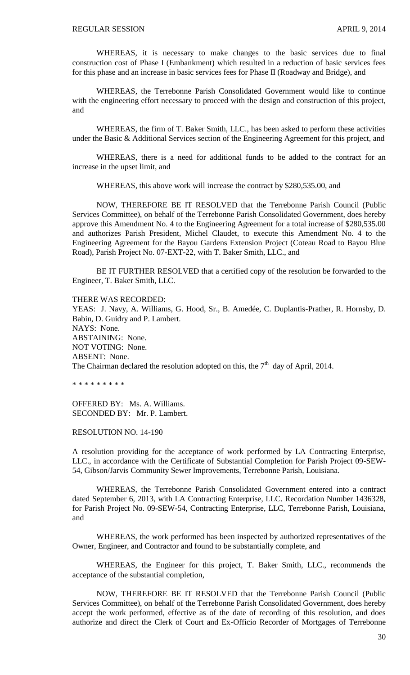WHEREAS, it is necessary to make changes to the basic services due to final construction cost of Phase I (Embankment) which resulted in a reduction of basic services fees for this phase and an increase in basic services fees for Phase II (Roadway and Bridge), and

WHEREAS, the Terrebonne Parish Consolidated Government would like to continue with the engineering effort necessary to proceed with the design and construction of this project, and

WHEREAS, the firm of T. Baker Smith, LLC., has been asked to perform these activities under the Basic & Additional Services section of the Engineering Agreement for this project, and

WHEREAS, there is a need for additional funds to be added to the contract for an increase in the upset limit, and

WHEREAS, this above work will increase the contract by \$280,535.00, and

NOW, THEREFORE BE IT RESOLVED that the Terrebonne Parish Council (Public Services Committee), on behalf of the Terrebonne Parish Consolidated Government, does hereby approve this Amendment No. 4 to the Engineering Agreement for a total increase of \$280,535.00 and authorizes Parish President, Michel Claudet, to execute this Amendment No. 4 to the Engineering Agreement for the Bayou Gardens Extension Project (Coteau Road to Bayou Blue Road), Parish Project No. 07-EXT-22, with T. Baker Smith, LLC., and

BE IT FURTHER RESOLVED that a certified copy of the resolution be forwarded to the Engineer, T. Baker Smith, LLC.

THERE WAS RECORDED:

YEAS: J. Navy, A. Williams, G. Hood, Sr., B. Amedée, C. Duplantis-Prather, R. Hornsby, D. Babin, D. Guidry and P. Lambert. NAYS: None. ABSTAINING: None. NOT VOTING: None. ABSENT: None. The Chairman declared the resolution adopted on this, the  $7<sup>th</sup>$  day of April, 2014.

\* \* \* \* \* \* \* \* \*

OFFERED BY: Ms. A. Williams. SECONDED BY: Mr. P. Lambert.

RESOLUTION NO. 14-190

A resolution providing for the acceptance of work performed by LA Contracting Enterprise, LLC., in accordance with the Certificate of Substantial Completion for Parish Project 09-SEW-54, Gibson/Jarvis Community Sewer Improvements, Terrebonne Parish, Louisiana.

WHEREAS, the Terrebonne Parish Consolidated Government entered into a contract dated September 6, 2013, with LA Contracting Enterprise, LLC. Recordation Number 1436328, for Parish Project No. 09-SEW-54, Contracting Enterprise, LLC, Terrebonne Parish, Louisiana, and

WHEREAS, the work performed has been inspected by authorized representatives of the Owner, Engineer, and Contractor and found to be substantially complete, and

WHEREAS, the Engineer for this project, T. Baker Smith, LLC., recommends the acceptance of the substantial completion,

NOW, THEREFORE BE IT RESOLVED that the Terrebonne Parish Council (Public Services Committee), on behalf of the Terrebonne Parish Consolidated Government, does hereby accept the work performed, effective as of the date of recording of this resolution, and does authorize and direct the Clerk of Court and Ex-Officio Recorder of Mortgages of Terrebonne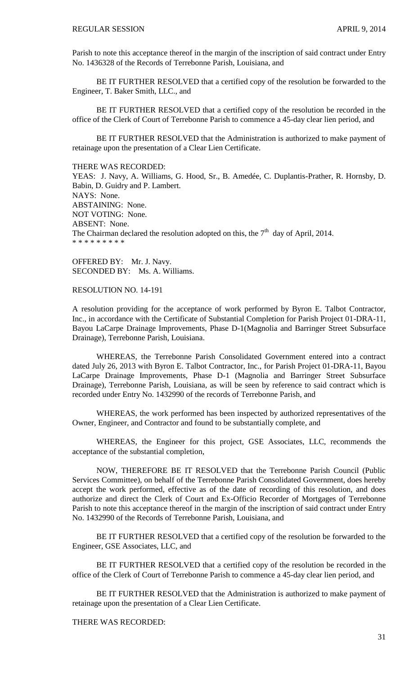Parish to note this acceptance thereof in the margin of the inscription of said contract under Entry No. 1436328 of the Records of Terrebonne Parish, Louisiana, and

BE IT FURTHER RESOLVED that a certified copy of the resolution be forwarded to the Engineer, T. Baker Smith, LLC., and

BE IT FURTHER RESOLVED that a certified copy of the resolution be recorded in the office of the Clerk of Court of Terrebonne Parish to commence a 45-day clear lien period, and

BE IT FURTHER RESOLVED that the Administration is authorized to make payment of retainage upon the presentation of a Clear Lien Certificate.

THERE WAS RECORDED:

YEAS: J. Navy, A. Williams, G. Hood, Sr., B. Amedée, C. Duplantis-Prather, R. Hornsby, D. Babin, D. Guidry and P. Lambert. NAYS: None. ABSTAINING: None. NOT VOTING: None. ABSENT: None. The Chairman declared the resolution adopted on this, the  $7<sup>th</sup>$  day of April, 2014. \* \* \* \* \* \* \* \* \*

OFFERED BY: Mr. J. Navy. SECONDED BY: Ms. A. Williams.

RESOLUTION NO. 14-191

A resolution providing for the acceptance of work performed by Byron E. Talbot Contractor, Inc., in accordance with the Certificate of Substantial Completion for Parish Project 01-DRA-11, Bayou LaCarpe Drainage Improvements, Phase D-1(Magnolia and Barringer Street Subsurface Drainage), Terrebonne Parish, Louisiana.

WHEREAS, the Terrebonne Parish Consolidated Government entered into a contract dated July 26, 2013 with Byron E. Talbot Contractor, Inc., for Parish Project 01-DRA-11, Bayou LaCarpe Drainage Improvements, Phase D-1 (Magnolia and Barringer Street Subsurface Drainage), Terrebonne Parish, Louisiana, as will be seen by reference to said contract which is recorded under Entry No. 1432990 of the records of Terrebonne Parish, and

WHEREAS, the work performed has been inspected by authorized representatives of the Owner, Engineer, and Contractor and found to be substantially complete, and

WHEREAS, the Engineer for this project, GSE Associates, LLC, recommends the acceptance of the substantial completion,

NOW, THEREFORE BE IT RESOLVED that the Terrebonne Parish Council (Public Services Committee), on behalf of the Terrebonne Parish Consolidated Government, does hereby accept the work performed, effective as of the date of recording of this resolution, and does authorize and direct the Clerk of Court and Ex-Officio Recorder of Mortgages of Terrebonne Parish to note this acceptance thereof in the margin of the inscription of said contract under Entry No. 1432990 of the Records of Terrebonne Parish, Louisiana, and

BE IT FURTHER RESOLVED that a certified copy of the resolution be forwarded to the Engineer, GSE Associates, LLC, and

BE IT FURTHER RESOLVED that a certified copy of the resolution be recorded in the office of the Clerk of Court of Terrebonne Parish to commence a 45-day clear lien period, and

BE IT FURTHER RESOLVED that the Administration is authorized to make payment of retainage upon the presentation of a Clear Lien Certificate.

THERE WAS RECORDED: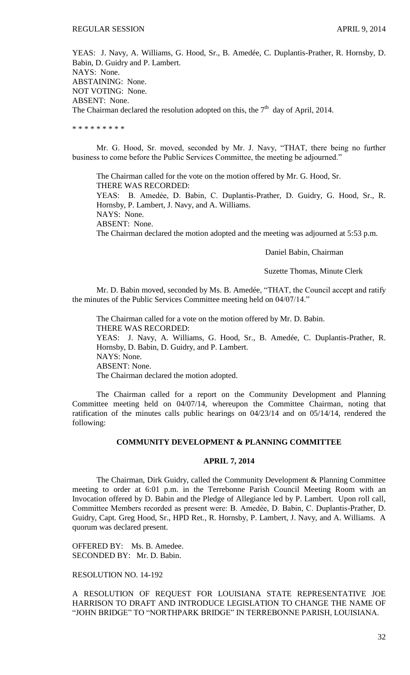YEAS: J. Navy, A. Williams, G. Hood, Sr., B. Amedée, C. Duplantis-Prather, R. Hornsby, D. Babin, D. Guidry and P. Lambert. NAYS: None. ABSTAINING: None. NOT VOTING: None. ABSENT: None. The Chairman declared the resolution adopted on this, the  $7<sup>th</sup>$  day of April, 2014.

\* \* \* \* \* \* \* \* \*

Mr. G. Hood, Sr. moved, seconded by Mr. J. Navy, "THAT, there being no further business to come before the Public Services Committee, the meeting be adjourned."

The Chairman called for the vote on the motion offered by Mr. G. Hood, Sr. THERE WAS RECORDED: YEAS: B. Amedẻe, D. Babin, C. Duplantis-Prather, D. Guidry, G. Hood, Sr., R. Hornsby, P. Lambert, J. Navy, and A. Williams. NAYS: None. ABSENT: None. The Chairman declared the motion adopted and the meeting was adjourned at 5:53 p.m.

Daniel Babin, Chairman

Suzette Thomas, Minute Clerk

Mr. D. Babin moved, seconded by Ms. B. Amedée, "THAT, the Council accept and ratify the minutes of the Public Services Committee meeting held on 04/07/14."

The Chairman called for a vote on the motion offered by Mr. D. Babin. THERE WAS RECORDED: YEAS: J. Navy, A. Williams, G. Hood, Sr., B. Amedée, C. Duplantis-Prather, R. Hornsby, D. Babin, D. Guidry, and P. Lambert. NAYS: None. ABSENT: None. The Chairman declared the motion adopted.

The Chairman called for a report on the Community Development and Planning Committee meeting held on 04/07/14, whereupon the Committee Chairman, noting that ratification of the minutes calls public hearings on 04/23/14 and on 05/14/14, rendered the following:

# **COMMUNITY DEVELOPMENT & PLANNING COMMITTEE**

#### **APRIL 7, 2014**

The Chairman, Dirk Guidry, called the Community Development & Planning Committee meeting to order at 6:01 p.m. in the Terrebonne Parish Council Meeting Room with an Invocation offered by D. Babin and the Pledge of Allegiance led by P. Lambert. Upon roll call, Committee Members recorded as present were: B. Amedẻe, D. Babin, C. Duplantis-Prather, D. Guidry, Capt. Greg Hood, Sr., HPD Ret., R. Hornsby, P. Lambert, J. Navy, and A. Williams. A quorum was declared present.

OFFERED BY: Ms. B. Amedee. SECONDED BY: Mr. D. Babin.

# RESOLUTION NO. 14-192

A RESOLUTION OF REQUEST FOR LOUISIANA STATE REPRESENTATIVE JOE HARRISON TO DRAFT AND INTRODUCE LEGISLATION TO CHANGE THE NAME OF "JOHN BRIDGE" TO "NORTHPARK BRIDGE" IN TERREBONNE PARISH, LOUISIANA.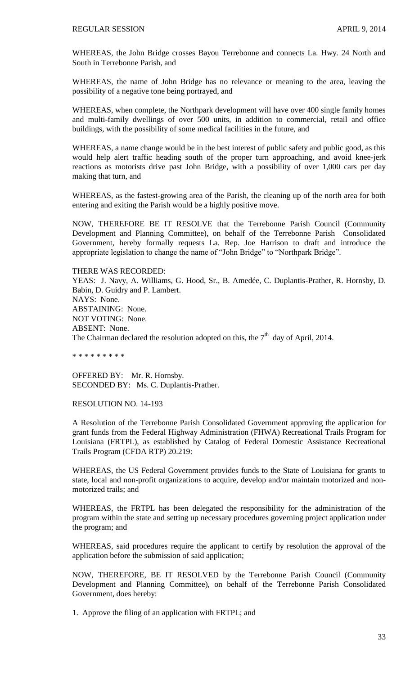WHEREAS, the John Bridge crosses Bayou Terrebonne and connects La. Hwy. 24 North and South in Terrebonne Parish, and

WHEREAS, the name of John Bridge has no relevance or meaning to the area, leaving the possibility of a negative tone being portrayed, and

WHEREAS, when complete, the Northpark development will have over 400 single family homes and multi-family dwellings of over 500 units, in addition to commercial, retail and office buildings, with the possibility of some medical facilities in the future, and

WHEREAS, a name change would be in the best interest of public safety and public good, as this would help alert traffic heading south of the proper turn approaching, and avoid knee-jerk reactions as motorists drive past John Bridge, with a possibility of over 1,000 cars per day making that turn, and

WHEREAS, as the fastest-growing area of the Parish, the cleaning up of the north area for both entering and exiting the Parish would be a highly positive move.

NOW, THEREFORE BE IT RESOLVE that the Terrebonne Parish Council (Community Development and Planning Committee), on behalf of the Terrebonne Parish Consolidated Government, hereby formally requests La. Rep. Joe Harrison to draft and introduce the appropriate legislation to change the name of "John Bridge" to "Northpark Bridge".

# THERE WAS RECORDED:

YEAS: J. Navy, A. Williams, G. Hood, Sr., B. Amedée, C. Duplantis-Prather, R. Hornsby, D. Babin, D. Guidry and P. Lambert. NAYS: None. ABSTAINING: None. NOT VOTING: None. ABSENT: None. The Chairman declared the resolution adopted on this, the  $7<sup>th</sup>$  day of April, 2014.

\* \* \* \* \* \* \* \* \*

OFFERED BY: Mr. R. Hornsby. SECONDED BY: Ms. C. Duplantis-Prather.

#### RESOLUTION NO. 14-193

A Resolution of the Terrebonne Parish Consolidated Government approving the application for grant funds from the Federal Highway Administration (FHWA) Recreational Trails Program for Louisiana (FRTPL), as established by Catalog of Federal Domestic Assistance Recreational Trails Program (CFDA RTP) 20.219:

WHEREAS, the US Federal Government provides funds to the State of Louisiana for grants to state, local and non-profit organizations to acquire, develop and/or maintain motorized and nonmotorized trails; and

WHEREAS, the FRTPL has been delegated the responsibility for the administration of the program within the state and setting up necessary procedures governing project application under the program; and

WHEREAS, said procedures require the applicant to certify by resolution the approval of the application before the submission of said application;

NOW, THEREFORE, BE IT RESOLVED by the Terrebonne Parish Council (Community Development and Planning Committee), on behalf of the Terrebonne Parish Consolidated Government, does hereby:

1. Approve the filing of an application with FRTPL; and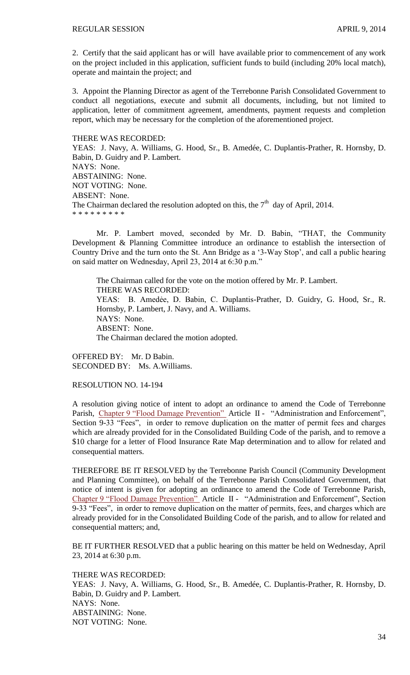2. Certify that the said applicant has or will have available prior to commencement of any work on the project included in this application, sufficient funds to build (including 20% local match), operate and maintain the project; and

3. Appoint the Planning Director as agent of the Terrebonne Parish Consolidated Government to conduct all negotiations, execute and submit all documents, including, but not limited to application, letter of commitment agreement, amendments, payment requests and completion report, which may be necessary for the completion of the aforementioned project.

THERE WAS RECORDED: YEAS: J. Navy, A. Williams, G. Hood, Sr., B. Amedée, C. Duplantis-Prather, R. Hornsby, D. Babin, D. Guidry and P. Lambert. NAYS: None. ABSTAINING: None. NOT VOTING: None. ABSENT: None. The Chairman declared the resolution adopted on this, the  $7<sup>th</sup>$  day of April, 2014. \* \* \* \* \* \* \* \* \*

Mr. P. Lambert moved, seconded by Mr. D. Babin, "THAT, the Community Development & Planning Committee introduce an ordinance to establish the intersection of Country Drive and the turn onto the St. Ann Bridge as a '3-Way Stop', and call a public hearing on said matter on Wednesday, April 23, 2014 at 6:30 p.m."

The Chairman called for the vote on the motion offered by Mr. P. Lambert. THERE WAS RECORDED: YEAS: B. Amedẻe, D. Babin, C. Duplantis-Prather, D. Guidry, G. Hood, Sr., R. Hornsby, P. Lambert, J. Navy, and A. Williams. NAYS: None. ABSENT: None. The Chairman declared the motion adopted.

OFFERED BY: Mr. D Babin. SECONDED BY: Ms. A.Williams.

RESOLUTION NO. 14-194

A resolution giving notice of intent to adopt an ordinance to amend the Code of Terrebonne Parish, [Chapter 9 "Flood Damage Prevention"](http://library.municode.com/HTML/10737/level2/PTIIPACO_CH9FLDAPR.html) Article II - "Administration and Enforcement", Section 9-33 "Fees", in order to remove duplication on the matter of permit fees and charges which are already provided for in the Consolidated Building Code of the parish, and to remove a \$10 charge for a letter of Flood Insurance Rate Map determination and to allow for related and consequential matters.

THEREFORE BE IT RESOLVED by the Terrebonne Parish Council (Community Development and Planning Committee), on behalf of the Terrebonne Parish Consolidated Government, that notice of intent is given for adopting an ordinance to amend the Code of Terrebonne Parish, [Chapter 9 "Flood Damage Prevention"](http://library.municode.com/HTML/10737/level2/PTIIPACO_CH9FLDAPR.html) Article II - "Administration and Enforcement", Section 9-33 "Fees", in order to remove duplication on the matter of permits, fees, and charges which are already provided for in the Consolidated Building Code of the parish, and to allow for related and consequential matters; and,

BE IT FURTHER RESOLVED that a public hearing on this matter be held on Wednesday, April 23, 2014 at 6:30 p.m.

THERE WAS RECORDED:

YEAS: J. Navy, A. Williams, G. Hood, Sr., B. Amedée, C. Duplantis-Prather, R. Hornsby, D. Babin, D. Guidry and P. Lambert. NAYS: None. ABSTAINING: None. NOT VOTING: None.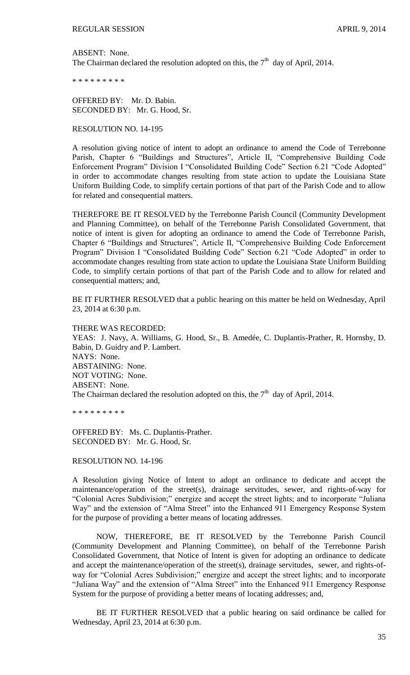ABSENT: None. The Chairman declared the resolution adopted on this, the  $7<sup>th</sup>$  day of April, 2014.

\* \* \* \* \* \* \* \* \*

OFFERED BY: Mr. D. Babin. SECONDED BY: Mr. G. Hood, Sr.

RESOLUTION NO. 14-195

A resolution giving notice of intent to adopt an ordinance to amend the Code of Terrebonne Parish, Chapter 6 "Buildings and Structures", Article II, "Comprehensive Building Code Enforcement Program" Division I "Consolidated Building Code" Section 6.21 "Code Adopted" in order to accommodate changes resulting from state action to update the Louisiana State Uniform Building Code, to simplify certain portions of that part of the Parish Code and to allow for related and consequential matters.

THEREFORE BE IT RESOLVED by the Terrebonne Parish Council (Community Development and Planning Committee), on behalf of the Terrebonne Parish Consolidated Government, that notice of intent is given for adopting an ordinance to amend the Code of Terrebonne Parish, Chapter 6 "Buildings and Structures", Article II, "Comprehensive Building Code Enforcement Program" Division I "Consolidated Building Code" Section 6.21 "Code Adopted" in order to accommodate changes resulting from state action to update the Louisiana State Uniform Building Code, to simplify certain portions of that part of the Parish Code and to allow for related and consequential matters; and,

BE IT FURTHER RESOLVED that a public hearing on this matter be held on Wednesday, April 23, 2014 at 6:30 p.m.

THERE WAS RECORDED: YEAS: J. Navy, A. Williams, G. Hood, Sr., B. Amedée, C. Duplantis-Prather, R. Hornsby, D. Babin, D. Guidry and P. Lambert. NAYS: None. ABSTAINING: None. NOT VOTING: None. ABSENT: None. The Chairman declared the resolution adopted on this, the  $7<sup>th</sup>$  day of April, 2014.

\* \* \* \* \* \* \* \* \*

OFFERED BY: Ms. C. Duplantis-Prather. SECONDED BY: Mr. G. Hood, Sr.

RESOLUTION NO. 14-196

A Resolution giving Notice of Intent to adopt an ordinance to dedicate and accept the maintenance/operation of the street(s), drainage servitudes, sewer, and rights-of-way for "Colonial Acres Subdivision;" energize and accept the street lights; and to incorporate "Juliana Way" and the extension of "Alma Street" into the Enhanced 911 Emergency Response System for the purpose of providing a better means of locating addresses.

NOW, THEREFORE, BE IT RESOLVED by the Terrebonne Parish Council (Community Development and Planning Committee), on behalf of the Terrebonne Parish Consolidated Government, that Notice of Intent is given for adopting an ordinance to dedicate and accept the maintenance/operation of the street(s), drainage servitudes, sewer, and rights-ofway for "Colonial Acres Subdivision;" energize and accept the street lights; and to incorporate "Juliana Way" and the extension of "Alma Street" into the Enhanced 911 Emergency Response System for the purpose of providing a better means of locating addresses; and,

BE IT FURTHER RESOLVED that a public hearing on said ordinance be called for Wednesday, April 23, 2014 at 6:30 p.m.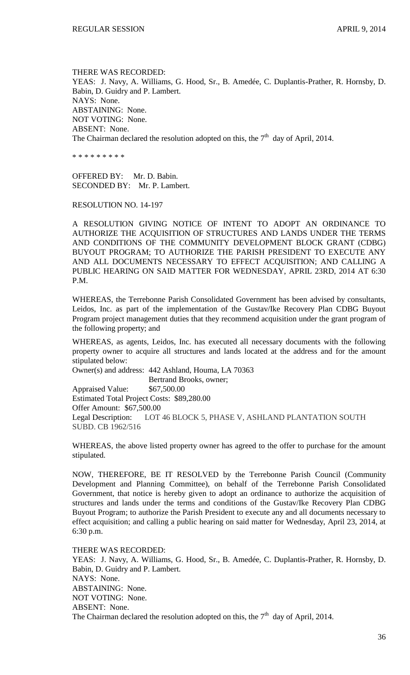THERE WAS RECORDED: YEAS: J. Navy, A. Williams, G. Hood, Sr., B. Amedée, C. Duplantis-Prather, R. Hornsby, D. Babin, D. Guidry and P. Lambert. NAYS: None. ABSTAINING: None. NOT VOTING: None. ABSENT: None. The Chairman declared the resolution adopted on this, the  $7<sup>th</sup>$  day of April, 2014.

\* \* \* \* \* \* \* \* \*

OFFERED BY: Mr. D. Babin. SECONDED BY: Mr. P. Lambert.

RESOLUTION NO. 14-197

A RESOLUTION GIVING NOTICE OF INTENT TO ADOPT AN ORDINANCE TO AUTHORIZE THE ACQUISITION OF STRUCTURES AND LANDS UNDER THE TERMS AND CONDITIONS OF THE COMMUNITY DEVELOPMENT BLOCK GRANT (CDBG) BUYOUT PROGRAM; TO AUTHORIZE THE PARISH PRESIDENT TO EXECUTE ANY AND ALL DOCUMENTS NECESSARY TO EFFECT ACQUISITION; AND CALLING A PUBLIC HEARING ON SAID MATTER FOR WEDNESDAY, APRIL 23RD, 2014 AT 6:30 P.M.

WHEREAS, the Terrebonne Parish Consolidated Government has been advised by consultants, Leidos, Inc. as part of the implementation of the Gustav/Ike Recovery Plan CDBG Buyout Program project management duties that they recommend acquisition under the grant program of the following property; and

WHEREAS, as agents, Leidos, Inc. has executed all necessary documents with the following property owner to acquire all structures and lands located at the address and for the amount stipulated below:

Owner(s) and address: 442 Ashland, Houma, LA 70363 Bertrand Brooks, owner;

Appraised Value: \$67,500.00 Estimated Total Project Costs: \$89,280.00 Offer Amount: \$67,500.00 Legal Description: LOT 46 BLOCK 5, PHASE V, ASHLAND PLANTATION SOUTH SUBD. CB 1962/516

WHEREAS, the above listed property owner has agreed to the offer to purchase for the amount stipulated.

NOW, THEREFORE, BE IT RESOLVED by the Terrebonne Parish Council (Community Development and Planning Committee), on behalf of the Terrebonne Parish Consolidated Government, that notice is hereby given to adopt an ordinance to authorize the acquisition of structures and lands under the terms and conditions of the Gustav/Ike Recovery Plan CDBG Buyout Program; to authorize the Parish President to execute any and all documents necessary to effect acquisition; and calling a public hearing on said matter for Wednesday, April 23, 2014, at 6:30 p.m.

THERE WAS RECORDED:

YEAS: J. Navy, A. Williams, G. Hood, Sr., B. Amedée, C. Duplantis-Prather, R. Hornsby, D. Babin, D. Guidry and P. Lambert. NAYS: None. ABSTAINING: None. NOT VOTING: None. ABSENT: None. The Chairman declared the resolution adopted on this, the  $7<sup>th</sup>$  day of April, 2014.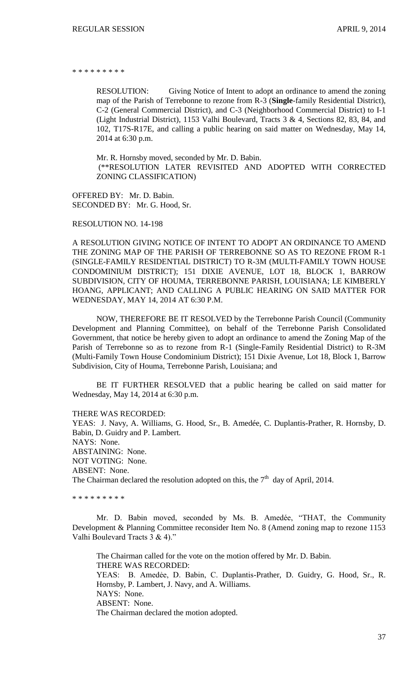\* \* \* \* \* \* \* \*

RESOLUTION: Giving Notice of Intent to adopt an ordinance to amend the zoning map of the Parish of Terrebonne to rezone from R-3 (**Single**-family Residential District), C-2 (General Commercial District), and C-3 (Neighborhood Commercial District) to I-1 (Light Industrial District), 1153 Valhi Boulevard, Tracts 3 & 4, Sections 82, 83, 84, and 102, T17S-R17E, and calling a public hearing on said matter on Wednesday, May 14, 2014 at 6:30 p.m.

Mr. R. Hornsby moved, seconded by Mr. D. Babin. (\*\*RESOLUTION LATER REVISITED AND ADOPTED WITH CORRECTED ZONING CLASSIFICATION)

OFFERED BY: Mr. D. Babin. SECONDED BY: Mr. G. Hood, Sr.

RESOLUTION NO. 14-198

A RESOLUTION GIVING NOTICE OF INTENT TO ADOPT AN ORDINANCE TO AMEND THE ZONING MAP OF THE PARISH OF TERREBONNE SO AS TO REZONE FROM R-1 (SINGLE-FAMILY RESIDENTIAL DISTRICT) TO R-3M (MULTI-FAMILY TOWN HOUSE CONDOMINIUM DISTRICT); 151 DIXIE AVENUE, LOT 18, BLOCK 1, BARROW SUBDIVISION, CITY OF HOUMA, TERREBONNE PARISH, LOUISIANA; LE KIMBERLY HOANG, APPLICANT; AND CALLING A PUBLIC HEARING ON SAID MATTER FOR WEDNESDAY, MAY 14, 2014 AT 6:30 P.M.

NOW, THEREFORE BE IT RESOLVED by the Terrebonne Parish Council (Community Development and Planning Committee), on behalf of the Terrebonne Parish Consolidated Government, that notice be hereby given to adopt an ordinance to amend the Zoning Map of the Parish of Terrebonne so as to rezone from R-1 (Single-Family Residential District) to R-3M (Multi-Family Town House Condominium District); 151 Dixie Avenue, Lot 18, Block 1, Barrow Subdivision, City of Houma, Terrebonne Parish, Louisiana; and

BE IT FURTHER RESOLVED that a public hearing be called on said matter for Wednesday, May 14, 2014 at 6:30 p.m.

THERE WAS RECORDED:

YEAS: J. Navy, A. Williams, G. Hood, Sr., B. Amedée, C. Duplantis-Prather, R. Hornsby, D. Babin, D. Guidry and P. Lambert. NAYS: None. ABSTAINING: None. NOT VOTING: None. ABSENT: None. The Chairman declared the resolution adopted on this, the  $7<sup>th</sup>$  day of April, 2014.

\* \* \* \* \* \* \* \* \*

Mr. D. Babin moved, seconded by Ms. B. Amedée, "THAT, the Community Development & Planning Committee reconsider Item No. 8 (Amend zoning map to rezone 1153 Valhi Boulevard Tracts 3 & 4)."

The Chairman called for the vote on the motion offered by Mr. D. Babin. THERE WAS RECORDED: YEAS: B. Amedẻe, D. Babin, C. Duplantis-Prather, D. Guidry, G. Hood, Sr., R. Hornsby, P. Lambert, J. Navy, and A. Williams. NAYS: None. ABSENT: None. The Chairman declared the motion adopted.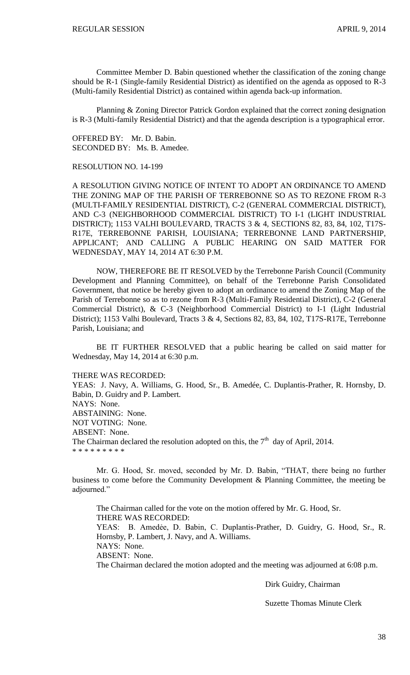Committee Member D. Babin questioned whether the classification of the zoning change should be R-1 (Single-family Residential District) as identified on the agenda as opposed to R-3 (Multi-family Residential District) as contained within agenda back-up information.

Planning & Zoning Director Patrick Gordon explained that the correct zoning designation is R-3 (Multi-family Residential District) and that the agenda description is a typographical error.

OFFERED BY: Mr. D. Babin. SECONDED BY: Ms. B. Amedee.

RESOLUTION NO. 14-199

A RESOLUTION GIVING NOTICE OF INTENT TO ADOPT AN ORDINANCE TO AMEND THE ZONING MAP OF THE PARISH OF TERREBONNE SO AS TO REZONE FROM R-3 (MULTI-FAMILY RESIDENTIAL DISTRICT), C-2 (GENERAL COMMERCIAL DISTRICT), AND C-3 (NEIGHBORHOOD COMMERCIAL DISTRICT) TO I-1 (LIGHT INDUSTRIAL DISTRICT); 1153 VALHI BOULEVARD, TRACTS 3 & 4, SECTIONS 82, 83, 84, 102, T17S-R17E, TERREBONNE PARISH, LOUISIANA; TERREBONNE LAND PARTNERSHIP, APPLICANT; AND CALLING A PUBLIC HEARING ON SAID MATTER FOR WEDNESDAY, MAY 14, 2014 AT 6:30 P.M.

NOW, THEREFORE BE IT RESOLVED by the Terrebonne Parish Council (Community Development and Planning Committee), on behalf of the Terrebonne Parish Consolidated Government, that notice be hereby given to adopt an ordinance to amend the Zoning Map of the Parish of Terrebonne so as to rezone from R-3 (Multi-Family Residential District), C-2 (General Commercial District), & C-3 (Neighborhood Commercial District) to I-1 (Light Industrial District); 1153 Valhi Boulevard, Tracts 3 & 4, Sections 82, 83, 84, 102, T17S-R17E, Terrebonne Parish, Louisiana; and

BE IT FURTHER RESOLVED that a public hearing be called on said matter for Wednesday, May 14, 2014 at 6:30 p.m.

THERE WAS RECORDED:

YEAS: J. Navy, A. Williams, G. Hood, Sr., B. Amedée, C. Duplantis-Prather, R. Hornsby, D. Babin, D. Guidry and P. Lambert. NAYS: None. ABSTAINING: None. NOT VOTING: None. ABSENT: None. The Chairman declared the resolution adopted on this, the  $7<sup>th</sup>$  day of April, 2014.

\* \* \* \* \* \* \* \* \*

Mr. G. Hood, Sr. moved, seconded by Mr. D. Babin, "THAT, there being no further business to come before the Community Development & Planning Committee, the meeting be adjourned."

The Chairman called for the vote on the motion offered by Mr. G. Hood, Sr. THERE WAS RECORDED: YEAS: B. Amedẻe, D. Babin, C. Duplantis-Prather, D. Guidry, G. Hood, Sr., R. Hornsby, P. Lambert, J. Navy, and A. Williams. NAYS: None. ABSENT: None. The Chairman declared the motion adopted and the meeting was adjourned at 6:08 p.m.

Dirk Guidry, Chairman

Suzette Thomas Minute Clerk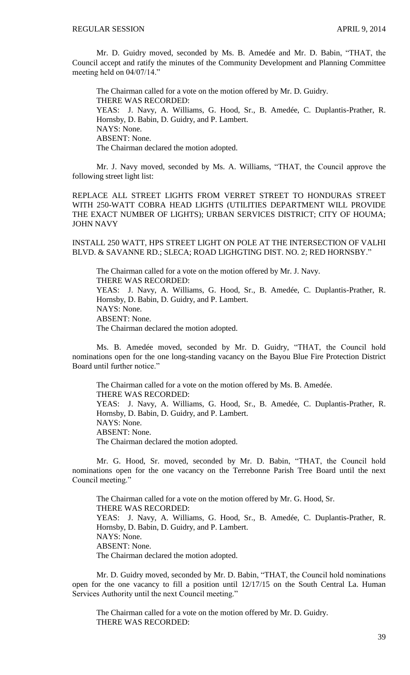Mr. D. Guidry moved, seconded by Ms. B. Amedée and Mr. D. Babin, "THAT, the Council accept and ratify the minutes of the Community Development and Planning Committee meeting held on 04/07/14."

The Chairman called for a vote on the motion offered by Mr. D. Guidry. THERE WAS RECORDED: YEAS: J. Navy, A. Williams, G. Hood, Sr., B. Amedée, C. Duplantis-Prather, R. Hornsby, D. Babin, D. Guidry, and P. Lambert. NAYS: None. ABSENT: None. The Chairman declared the motion adopted.

Mr. J. Navy moved, seconded by Ms. A. Williams, "THAT, the Council approve the following street light list:

REPLACE ALL STREET LIGHTS FROM VERRET STREET TO HONDURAS STREET WITH 250-WATT COBRA HEAD LIGHTS (UTILITIES DEPARTMENT WILL PROVIDE THE EXACT NUMBER OF LIGHTS); URBAN SERVICES DISTRICT; CITY OF HOUMA; JOHN NAVY

INSTALL 250 WATT, HPS STREET LIGHT ON POLE AT THE INTERSECTION OF VALHI BLVD. & SAVANNE RD.; SLECA; ROAD LIGHGTING DIST. NO. 2; RED HORNSBY."

The Chairman called for a vote on the motion offered by Mr. J. Navy. THERE WAS RECORDED: YEAS: J. Navy, A. Williams, G. Hood, Sr., B. Amedée, C. Duplantis-Prather, R. Hornsby, D. Babin, D. Guidry, and P. Lambert. NAYS: None. ABSENT: None. The Chairman declared the motion adopted.

Ms. B. Amedée moved, seconded by Mr. D. Guidry, "THAT, the Council hold nominations open for the one long-standing vacancy on the Bayou Blue Fire Protection District Board until further notice."

The Chairman called for a vote on the motion offered by Ms. B. Amedée. THERE WAS RECORDED: YEAS: J. Navy, A. Williams, G. Hood, Sr., B. Amedée, C. Duplantis-Prather, R. Hornsby, D. Babin, D. Guidry, and P. Lambert. NAYS: None. ABSENT: None. The Chairman declared the motion adopted.

Mr. G. Hood, Sr. moved, seconded by Mr. D. Babin, "THAT, the Council hold nominations open for the one vacancy on the Terrebonne Parish Tree Board until the next Council meeting."

The Chairman called for a vote on the motion offered by Mr. G. Hood, Sr. THERE WAS RECORDED: YEAS: J. Navy, A. Williams, G. Hood, Sr., B. Amedée, C. Duplantis-Prather, R. Hornsby, D. Babin, D. Guidry, and P. Lambert. NAYS: None. ABSENT: None. The Chairman declared the motion adopted.

Mr. D. Guidry moved, seconded by Mr. D. Babin, "THAT, the Council hold nominations open for the one vacancy to fill a position until 12/17/15 on the South Central La. Human Services Authority until the next Council meeting."

The Chairman called for a vote on the motion offered by Mr. D. Guidry. THERE WAS RECORDED: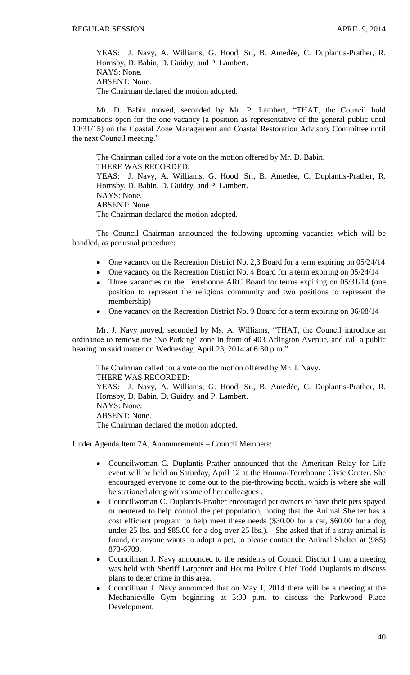YEAS: J. Navy, A. Williams, G. Hood, Sr., B. Amedée, C. Duplantis-Prather, R. Hornsby, D. Babin, D. Guidry, and P. Lambert. NAYS: None. ABSENT: None. The Chairman declared the motion adopted.

Mr. D. Babin moved, seconded by Mr. P. Lambert, "THAT, the Council hold nominations open for the one vacancy (a position as representative of the general public until 10/31/15) on the Coastal Zone Management and Coastal Restoration Advisory Committee until the next Council meeting."

The Chairman called for a vote on the motion offered by Mr. D. Babin. THERE WAS RECORDED: YEAS: J. Navy, A. Williams, G. Hood, Sr., B. Amedée, C. Duplantis-Prather, R. Hornsby, D. Babin, D. Guidry, and P. Lambert. NAYS: None. ABSENT: None. The Chairman declared the motion adopted.

The Council Chairman announced the following upcoming vacancies which will be handled, as per usual procedure:

- One vacancy on the Recreation District No. 2,3 Board for a term expiring on 05/24/14
- One vacancy on the Recreation District No. 4 Board for a term expiring on  $05/24/14$
- Three vacancies on the Terrebonne ARC Board for terms expiring on 05/31/14 (one position to represent the religious community and two positions to represent the membership)
- One vacancy on the Recreation District No. 9 Board for a term expiring on 06/08/14

Mr. J. Navy moved, seconded by Ms. A. Williams, "THAT, the Council introduce an ordinance to remove the 'No Parking' zone in front of 403 Arlington Avenue, and call a public hearing on said matter on Wednesday, April 23, 2014 at 6:30 p.m."

The Chairman called for a vote on the motion offered by Mr. J. Navy. THERE WAS RECORDED: YEAS: J. Navy, A. Williams, G. Hood, Sr., B. Amedée, C. Duplantis-Prather, R. Hornsby, D. Babin, D. Guidry, and P. Lambert. NAYS: None. ABSENT: None. The Chairman declared the motion adopted.

Under Agenda Item 7A, Announcements – Council Members:

- Councilwoman C. Duplantis-Prather announced that the American Relay for Life event will be held on Saturday, April 12 at the Houma-Terrebonne Civic Center. She encouraged everyone to come out to the pie-throwing booth, which is where she will be stationed along with some of her colleagues .
- Councilwoman C. Duplantis-Prather encouraged pet owners to have their pets spayed or neutered to help control the pet population, noting that the Animal Shelter has a cost efficient program to help meet these needs (\$30.00 for a cat, \$60.00 for a dog under 25 lbs. and \$85.00 for a dog over 25 lbs.). She asked that if a stray animal is found, or anyone wants to adopt a pet, to please contact the Animal Shelter at (985) 873-6709.
- Councilman J. Navy announced to the residents of Council District 1 that a meeting  $\bullet$ was held with Sheriff Larpenter and Houma Police Chief Todd Duplantis to discuss plans to deter crime in this area.
- Councilman J. Navy announced that on May 1, 2014 there will be a meeting at the Mechanicville Gym beginning at 5:00 p.m. to discuss the Parkwood Place Development.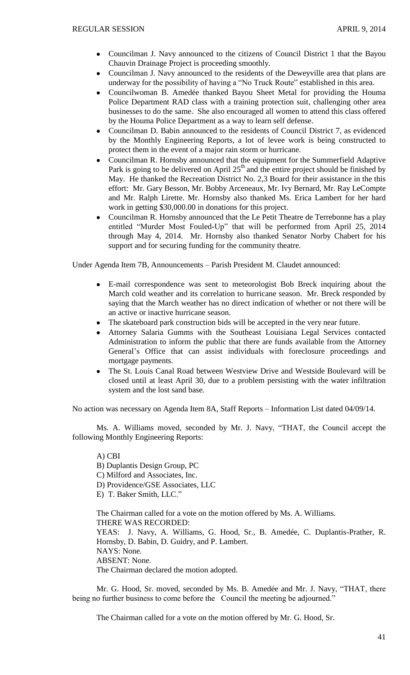- Councilman J. Navy announced to the citizens of Council District 1 that the Bayou  $\bullet$ Chauvin Drainage Project is proceeding smoothly.
- Councilman J. Navy announced to the residents of the Deweyville area that plans are  $\bullet$ underway for the possibility of having a "No Truck Route" established in this area.
- Councilwoman B. Amedée thanked Bayou Sheet Metal for providing the Houma Police Department RAD class with a training protection suit, challenging other area businesses to do the same. She also encouraged all women to attend this class offered by the Houma Police Department as a way to learn self defense.
- Councilman D. Babin announced to the residents of Council District 7, as evidenced  $\bullet$ by the Monthly Engineering Reports, a lot of levee work is being constructed to protect them in the event of a major rain storm or hurricane.
- Councilman R. Hornsby announced that the equipment for the Summerfield Adaptive Park is going to be delivered on April  $25<sup>th</sup>$  and the entire project should be finished by May. He thanked the Recreation District No. 2,3 Board for their assistance in the this effort: Mr. Gary Besson, Mr. Bobby Arceneaux, Mr. Ivy Bernard, Mr. Ray LeCompte and Mr. Ralph Lirette. Mr. Hornsby also thanked Ms. Erica Lambert for her hard work in getting \$30,000.00 in donations for this project.
- Councilman R. Hornsby announced that the Le Petit Theatre de Terrebonne has a play entitled "Murder Most Fouled-Up" that will be performed from April 25, 2014 through May 4, 2014. Mr. Hornsby also thanked Senator Norby Chabert for his support and for securing funding for the community theatre.

Under Agenda Item 7B, Announcements – Parish President M. Claudet announced:

- E-mail correspondence was sent to meteorologist Bob Breck inquiring about the March cold weather and its correlation to hurricane season. Mr. Breck responded by saying that the March weather has no direct indication of whether or not there will be an active or inactive hurricane season.
- The skateboard park construction bids will be accepted in the very near future.
- Attorney Salaria Gumms with the Southeast Louisiana Legal Services contacted Administration to inform the public that there are funds available from the Attorney General's Office that can assist individuals with foreclosure proceedings and mortgage payments.
- The St. Louis Canal Road between Westview Drive and Westside Boulevard will be closed until at least April 30, due to a problem persisting with the water infiltration system and the lost sand base.

No action was necessary on Agenda Item 8A, Staff Reports – Information List dated 04/09/14.

Ms. A. Williams moved, seconded by Mr. J. Navy, "THAT, the Council accept the following Monthly Engineering Reports:

A) CBI B) Duplantis Design Group, PC C) Milford and Associates, Inc. D) Providence/GSE Associates, LLC E) T. Baker Smith, LLC." The Chairman called for a vote on the motion offered by Ms. A. Williams. THERE WAS RECORDED: YEAS: J. Navy, A. Williams, G. Hood, Sr., B. Amedée, C. Duplantis-Prather, R. Hornsby, D. Babin, D. Guidry, and P. Lambert. NAYS: None. ABSENT: None.

The Chairman declared the motion adopted.

Mr. G. Hood, Sr. moved, seconded by Ms. B. Amedée and Mr. J. Navy, "THAT, there being no further business to come before the Council the meeting be adjourned."

The Chairman called for a vote on the motion offered by Mr. G. Hood, Sr.